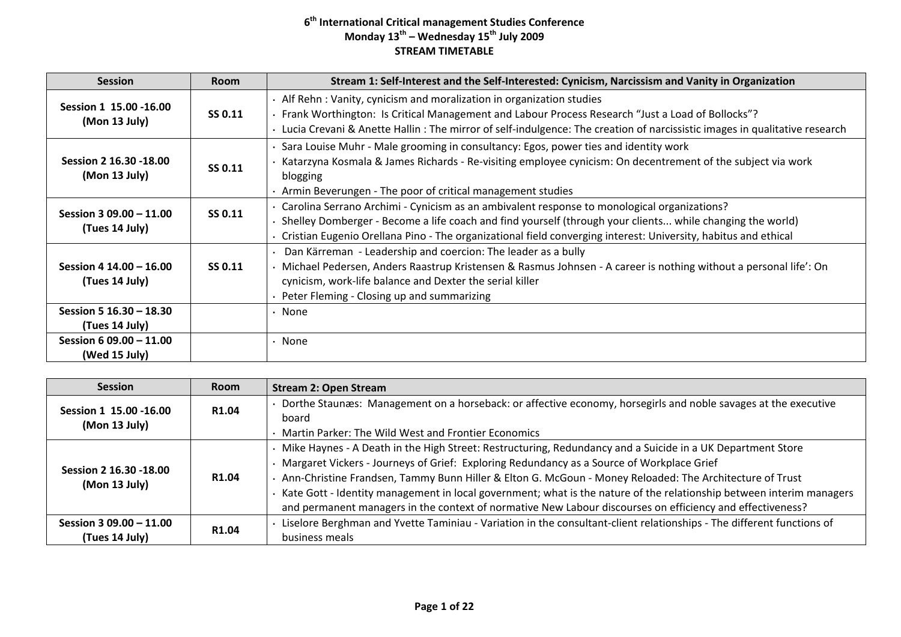| <b>Session</b>                            | <b>Room</b> | Stream 1: Self-Interest and the Self-Interested: Cynicism, Narcissism and Vanity in Organization                                                                                                                                                                                                                             |
|-------------------------------------------|-------------|------------------------------------------------------------------------------------------------------------------------------------------------------------------------------------------------------------------------------------------------------------------------------------------------------------------------------|
| Session 1 15.00 -16.00<br>(Mon 13 July)   | SS 0.11     | • Alf Rehn: Vanity, cynicism and moralization in organization studies<br>Frank Worthington: Is Critical Management and Labour Process Research "Just a Load of Bollocks"?<br>Lucia Crevani & Anette Hallin: The mirror of self-indulgence: The creation of narcissistic images in qualitative research                       |
| Session 2 16.30 - 18.00<br>(Mon 13 July)  | SS 0.11     | Sara Louise Muhr - Male grooming in consultancy: Egos, power ties and identity work<br>Katarzyna Kosmala & James Richards - Re-visiting employee cynicism: On decentrement of the subject via work<br>blogging<br>· Armin Beverungen - The poor of critical management studies                                               |
| Session 3 09.00 - 11.00<br>(Tues 14 July) | SS 0.11     | · Carolina Serrano Archimi - Cynicism as an ambivalent response to monological organizations?<br>Shelley Domberger - Become a life coach and find yourself (through your clients while changing the world)<br>Cristian Eugenio Orellana Pino - The organizational field converging interest: University, habitus and ethical |
| Session 4 14.00 - 16.00<br>(Tues 14 July) | SS 0.11     | Dan Kärreman - Leadership and coercion: The leader as a bully<br>Michael Pedersen, Anders Raastrup Kristensen & Rasmus Johnsen - A career is nothing without a personal life': On<br>cynicism, work-life balance and Dexter the serial killer<br>Peter Fleming - Closing up and summarizing                                  |
| Session 5 16.30 - 18.30<br>(Tues 14 July) |             | • None                                                                                                                                                                                                                                                                                                                       |
| Session 6 09.00 - 11.00<br>(Wed 15 July)  |             | $\cdot$ None                                                                                                                                                                                                                                                                                                                 |

| <b>Session</b>                          | <b>Room</b>       | <b>Stream 2: Open Stream</b>                                                                                          |
|-----------------------------------------|-------------------|-----------------------------------------------------------------------------------------------------------------------|
| Session 1 15.00 - 16.00                 | R <sub>1.04</sub> | Dorthe Staunæs: Management on a horseback: or affective economy, horsegirls and noble savages at the executive        |
| (Mon 13 July)                           |                   | board                                                                                                                 |
|                                         |                   | Martin Parker: The Wild West and Frontier Economics                                                                   |
|                                         |                   | Mike Haynes - A Death in the High Street: Restructuring, Redundancy and a Suicide in a UK Department Store            |
| Session 2 16.30 -18.00<br>(Mon 13 July) | R1.04             | Margaret Vickers - Journeys of Grief: Exploring Redundancy as a Source of Workplace Grief                             |
|                                         |                   | Ann-Christine Frandsen, Tammy Bunn Hiller & Elton G. McGoun - Money Reloaded: The Architecture of Trust               |
|                                         |                   | Kate Gott - Identity management in local government; what is the nature of the relationship between interim managers  |
|                                         |                   | and permanent managers in the context of normative New Labour discourses on efficiency and effectiveness?             |
| Session 3 09.00 - 11.00                 | R <sub>1.04</sub> | Liselore Berghman and Yvette Taminiau - Variation in the consultant-client relationships - The different functions of |
| (Tues 14 July)                          |                   | business meals                                                                                                        |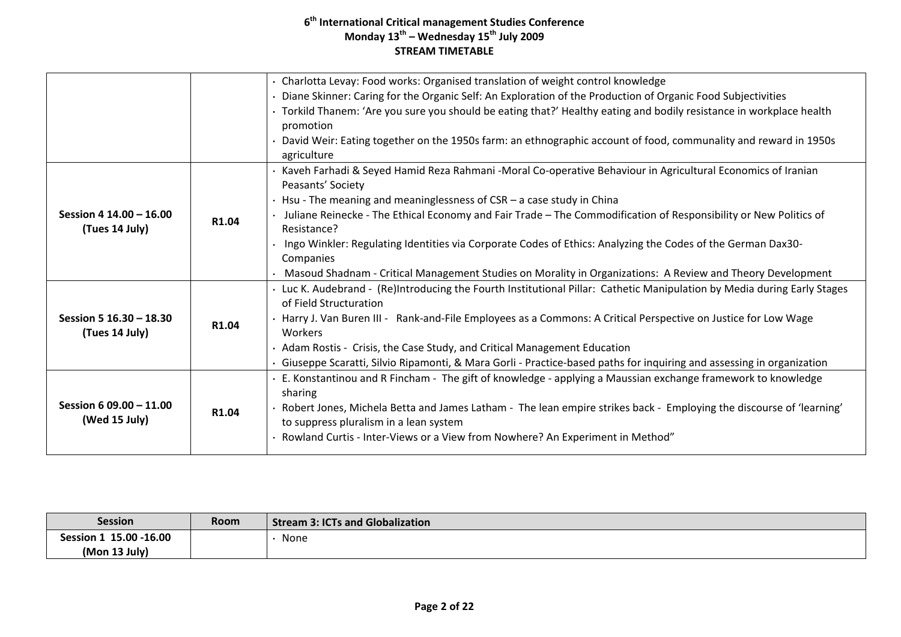|                         |       | · Charlotta Levay: Food works: Organised translation of weight control knowledge                                         |
|-------------------------|-------|--------------------------------------------------------------------------------------------------------------------------|
|                         |       | • Diane Skinner: Caring for the Organic Self: An Exploration of the Production of Organic Food Subjectivities            |
|                         |       | · Torkild Thanem: 'Are you sure you should be eating that?' Healthy eating and bodily resistance in workplace health     |
|                         |       | promotion                                                                                                                |
|                         |       | David Weir: Eating together on the 1950s farm: an ethnographic account of food, communality and reward in 1950s          |
|                         |       | agriculture                                                                                                              |
|                         |       | Kaveh Farhadi & Seyed Hamid Reza Rahmani -Moral Co-operative Behaviour in Agricultural Economics of Iranian              |
|                         |       | Peasants' Society                                                                                                        |
|                         |       | $\cdot$ Hsu - The meaning and meaninglessness of CSR – a case study in China                                             |
| Session 4 14.00 - 16.00 | R1.04 | Juliane Reinecke - The Ethical Economy and Fair Trade - The Commodification of Responsibility or New Politics of         |
| (Tues 14 July)          |       | Resistance?                                                                                                              |
|                         |       | Ingo Winkler: Regulating Identities via Corporate Codes of Ethics: Analyzing the Codes of the German Dax30-              |
|                         |       | Companies                                                                                                                |
|                         |       | Masoud Shadnam - Critical Management Studies on Morality in Organizations: A Review and Theory Development               |
|                         |       | · Luc K. Audebrand - (Re)Introducing the Fourth Institutional Pillar: Cathetic Manipulation by Media during Early Stages |
|                         |       | of Field Structuration                                                                                                   |
| Session 5 16.30 - 18.30 | R1.04 | · Harry J. Van Buren III - Rank-and-File Employees as a Commons: A Critical Perspective on Justice for Low Wage          |
| (Tues 14 July)          |       | Workers                                                                                                                  |
|                         |       | • Adam Rostis - Crisis, the Case Study, and Critical Management Education                                                |
|                         |       | · Giuseppe Scaratti, Silvio Ripamonti, & Mara Gorli - Practice-based paths for inquiring and assessing in organization   |
|                         |       | · E. Konstantinou and R Fincham - The gift of knowledge - applying a Maussian exchange framework to knowledge            |
| Session 6 09.00 - 11.00 |       | sharing                                                                                                                  |
|                         | R1.04 | Robert Jones, Michela Betta and James Latham - The lean empire strikes back - Employing the discourse of 'learning'      |
| (Wed 15 July)           |       | to suppress pluralism in a lean system                                                                                   |
|                         |       | Rowland Curtis - Inter-Views or a View from Nowhere? An Experiment in Method"                                            |
|                         |       |                                                                                                                          |

| <b>Session</b>          | <b>Room</b> | Stream 3: ICTs and Globalization |
|-------------------------|-------------|----------------------------------|
| Session 1 15.00 - 16.00 |             | None                             |
| (Mon 13 July)           |             |                                  |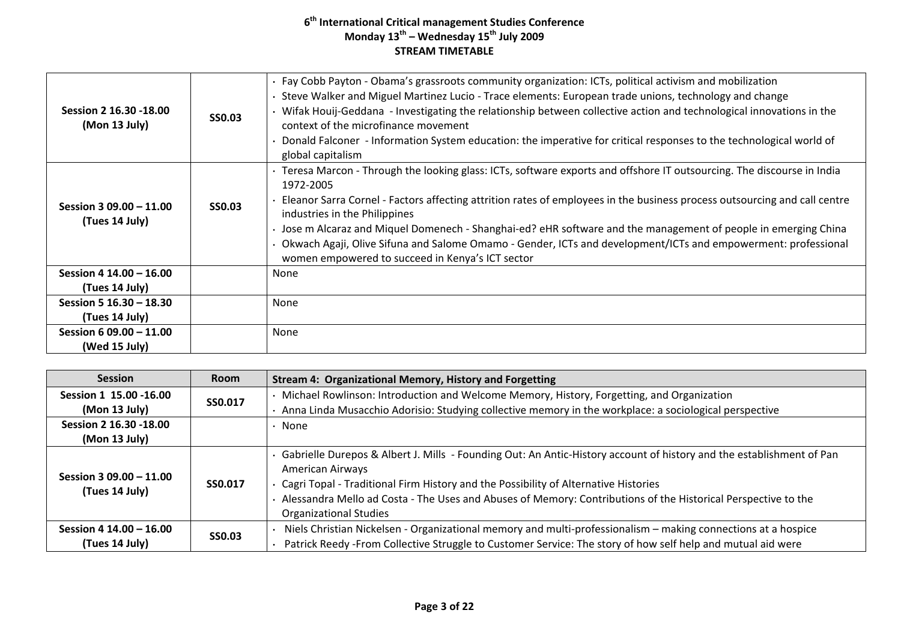| Session 2 16.30 - 18.00<br>(Mon 13 July)  | <b>SS0.03</b> | Fay Cobb Payton - Obama's grassroots community organization: ICTs, political activism and mobilization<br>Steve Walker and Miguel Martinez Lucio - Trace elements: European trade unions, technology and change<br>Wifak Houij-Geddana - Investigating the relationship between collective action and technological innovations in the<br>context of the microfinance movement<br>Donald Falconer - Information System education: the imperative for critical responses to the technological world of<br>global capitalism                                                                 |
|-------------------------------------------|---------------|--------------------------------------------------------------------------------------------------------------------------------------------------------------------------------------------------------------------------------------------------------------------------------------------------------------------------------------------------------------------------------------------------------------------------------------------------------------------------------------------------------------------------------------------------------------------------------------------|
| Session 3 09.00 - 11.00<br>(Tues 14 July) | <b>SS0.03</b> | · Teresa Marcon - Through the looking glass: ICTs, software exports and offshore IT outsourcing. The discourse in India<br>1972-2005<br>Eleanor Sarra Cornel - Factors affecting attrition rates of employees in the business process outsourcing and call centre<br>industries in the Philippines<br>· Jose m Alcaraz and Miquel Domenech - Shanghai-ed? eHR software and the management of people in emerging China<br>Okwach Agaji, Olive Sifuna and Salome Omamo - Gender, ICTs and development/ICTs and empowerment: professional<br>women empowered to succeed in Kenya's ICT sector |
| Session 4 14.00 - 16.00                   |               | None                                                                                                                                                                                                                                                                                                                                                                                                                                                                                                                                                                                       |
| (Tues 14 July)                            |               |                                                                                                                                                                                                                                                                                                                                                                                                                                                                                                                                                                                            |
| Session 5 16.30 - 18.30                   |               | None                                                                                                                                                                                                                                                                                                                                                                                                                                                                                                                                                                                       |
| (Tues 14 July)                            |               |                                                                                                                                                                                                                                                                                                                                                                                                                                                                                                                                                                                            |
| Session 6 09.00 - 11.00                   |               | None                                                                                                                                                                                                                                                                                                                                                                                                                                                                                                                                                                                       |
| (Wed 15 July)                             |               |                                                                                                                                                                                                                                                                                                                                                                                                                                                                                                                                                                                            |

| <b>Session</b>                            | <b>Room</b>   | <b>Stream 4: Organizational Memory, History and Forgetting</b>                                                                                                                                                                                                                                                                                                                    |
|-------------------------------------------|---------------|-----------------------------------------------------------------------------------------------------------------------------------------------------------------------------------------------------------------------------------------------------------------------------------------------------------------------------------------------------------------------------------|
| Session 1 15.00 -16.00                    | SS0.017       | Michael Rowlinson: Introduction and Welcome Memory, History, Forgetting, and Organization                                                                                                                                                                                                                                                                                         |
| (Mon 13 July)                             |               | Anna Linda Musacchio Adorisio: Studying collective memory in the workplace: a sociological perspective                                                                                                                                                                                                                                                                            |
| Session 2 16.30 - 18.00                   |               | None                                                                                                                                                                                                                                                                                                                                                                              |
| (Mon 13 July)                             |               |                                                                                                                                                                                                                                                                                                                                                                                   |
| Session 3 09.00 - 11.00<br>(Tues 14 July) | SS0.017       | Gabrielle Durepos & Albert J. Mills - Founding Out: An Antic-History account of history and the establishment of Pan<br>American Airways<br>Cagri Topal - Traditional Firm History and the Possibility of Alternative Histories<br>Alessandra Mello ad Costa - The Uses and Abuses of Memory: Contributions of the Historical Perspective to the<br><b>Organizational Studies</b> |
| Session 4 14.00 - 16.00<br>(Tues 14 July) | <b>SS0.03</b> | Niels Christian Nickelsen - Organizational memory and multi-professionalism - making connections at a hospice<br>Patrick Reedy -From Collective Struggle to Customer Service: The story of how self help and mutual aid were                                                                                                                                                      |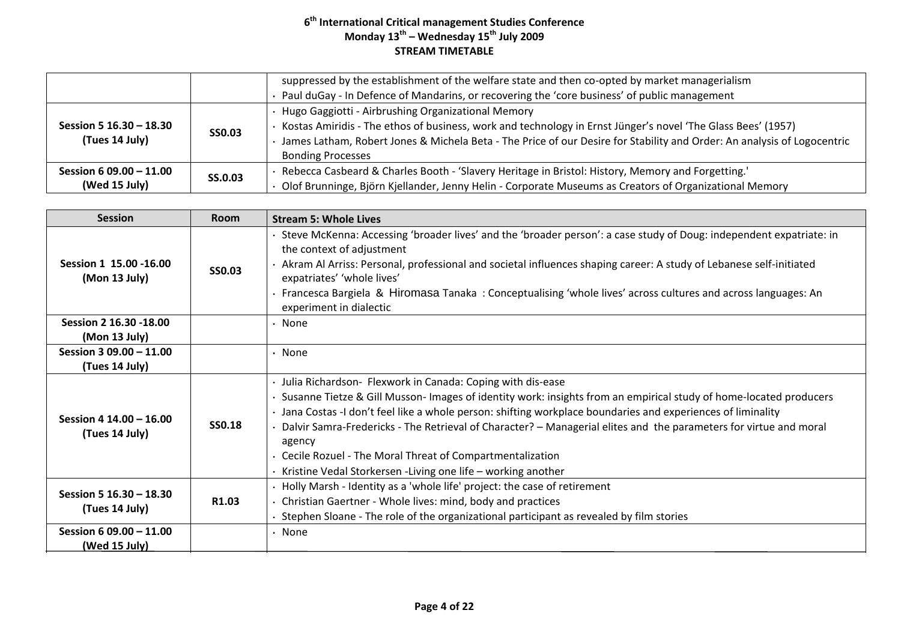|                                           |                | suppressed by the establishment of the welfare state and then co-opted by market managerialism<br>Paul duGay - In Defence of Mandarins, or recovering the 'core business' of public management                                                                                                                            |
|-------------------------------------------|----------------|---------------------------------------------------------------------------------------------------------------------------------------------------------------------------------------------------------------------------------------------------------------------------------------------------------------------------|
| Session 5 16.30 - 18.30<br>(Tues 14 July) | <b>SSO.03</b>  | Hugo Gaggiotti - Airbrushing Organizational Memory<br>Kostas Amiridis - The ethos of business, work and technology in Ernst Jünger's novel 'The Glass Bees' (1957)<br>James Latham, Robert Jones & Michela Beta - The Price of our Desire for Stability and Order: An analysis of Logocentric<br><b>Bonding Processes</b> |
| Session 6 09.00 - 11.00<br>(Wed 15 July)  | <b>SS.0.03</b> | Rebecca Casbeard & Charles Booth - 'Slavery Heritage in Bristol: History, Memory and Forgetting.'<br>Olof Brunninge, Björn Kjellander, Jenny Helin - Corporate Museums as Creators of Organizational Memory                                                                                                               |

| <b>Session</b>                            | <b>Room</b>       | <b>Stream 5: Whole Lives</b>                                                                                                                                                                                                                                                                                                                                                                                                                                                                                                                                 |
|-------------------------------------------|-------------------|--------------------------------------------------------------------------------------------------------------------------------------------------------------------------------------------------------------------------------------------------------------------------------------------------------------------------------------------------------------------------------------------------------------------------------------------------------------------------------------------------------------------------------------------------------------|
| Session 1 15.00 - 16.00<br>(Mon 13 July)  | <b>SS0.03</b>     | Steve McKenna: Accessing 'broader lives' and the 'broader person': a case study of Doug: independent expatriate: in<br>the context of adjustment<br>Akram Al Arriss: Personal, professional and societal influences shaping career: A study of Lebanese self-initiated<br>expatriates' 'whole lives'<br>Francesca Bargiela & Hiromasa Tanaka: Conceptualising 'whole lives' across cultures and across languages: An<br>experiment in dialectic                                                                                                              |
| Session 2 16.30 - 18.00<br>(Mon 13 July)  |                   | None                                                                                                                                                                                                                                                                                                                                                                                                                                                                                                                                                         |
| Session 3 09.00 - 11.00<br>(Tues 14 July) |                   | None                                                                                                                                                                                                                                                                                                                                                                                                                                                                                                                                                         |
| Session 4 14.00 - 16.00<br>(Tues 14 July) | <b>SS0.18</b>     | · Julia Richardson- Flexwork in Canada: Coping with dis-ease<br>Susanne Tietze & Gill Musson-Images of identity work: insights from an empirical study of home-located producers<br>· Jana Costas -I don't feel like a whole person: shifting workplace boundaries and experiences of liminality<br>Dalvir Samra-Fredericks - The Retrieval of Character? - Managerial elites and the parameters for virtue and moral<br>agency<br>Cecile Rozuel - The Moral Threat of Compartmentalization<br>Kristine Vedal Storkersen - Living one life - working another |
| Session 5 16.30 - 18.30<br>(Tues 14 July) | R <sub>1.03</sub> | Holly Marsh - Identity as a 'whole life' project: the case of retirement<br>Christian Gaertner - Whole lives: mind, body and practices<br>Stephen Sloane - The role of the organizational participant as revealed by film stories                                                                                                                                                                                                                                                                                                                            |
| Session 6 09.00 - 11.00<br>(Wed 15 July)  |                   | None                                                                                                                                                                                                                                                                                                                                                                                                                                                                                                                                                         |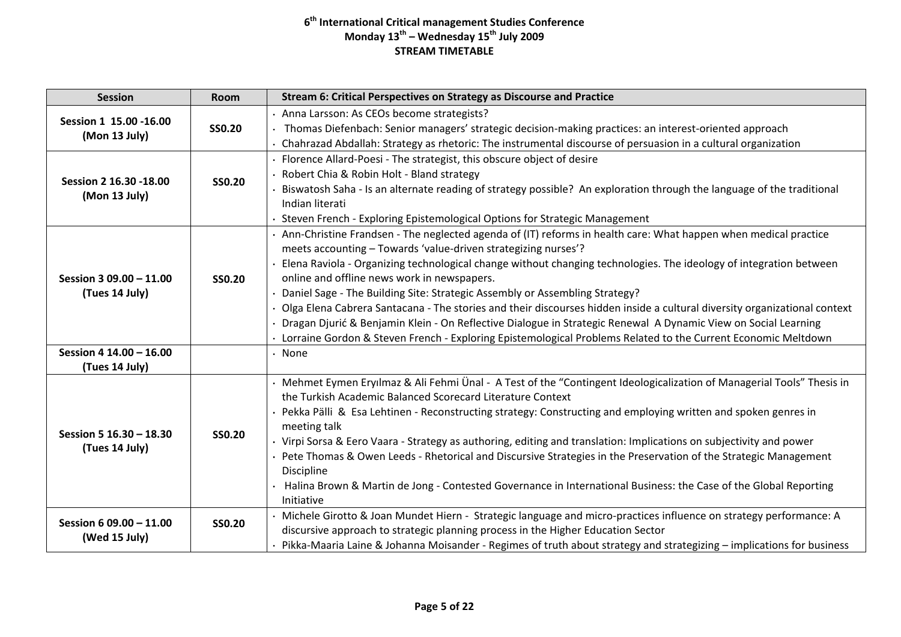| <b>Session</b>                            | <b>Room</b>   | Stream 6: Critical Perspectives on Strategy as Discourse and Practice                                                                                                                                                                                                                                                                                                                                                                                                                                                                                                                                                                                                                                                                                                                                     |
|-------------------------------------------|---------------|-----------------------------------------------------------------------------------------------------------------------------------------------------------------------------------------------------------------------------------------------------------------------------------------------------------------------------------------------------------------------------------------------------------------------------------------------------------------------------------------------------------------------------------------------------------------------------------------------------------------------------------------------------------------------------------------------------------------------------------------------------------------------------------------------------------|
| Session 1 15.00 - 16.00<br>(Mon 13 July)  | <b>SS0.20</b> | · Anna Larsson: As CEOs become strategists?<br>· Thomas Diefenbach: Senior managers' strategic decision-making practices: an interest-oriented approach<br>Chahrazad Abdallah: Strategy as rhetoric: The instrumental discourse of persuasion in a cultural organization                                                                                                                                                                                                                                                                                                                                                                                                                                                                                                                                  |
| Session 2 16.30 - 18.00<br>(Mon 13 July)  | <b>SS0.20</b> | · Florence Allard-Poesi - The strategist, this obscure object of desire<br>Robert Chia & Robin Holt - Bland strategy<br>Biswatosh Saha - Is an alternate reading of strategy possible? An exploration through the language of the traditional<br>Indian literati<br>Steven French - Exploring Epistemological Options for Strategic Management                                                                                                                                                                                                                                                                                                                                                                                                                                                            |
| Session 3 09.00 - 11.00<br>(Tues 14 July) | <b>SS0.20</b> | · Ann-Christine Frandsen - The neglected agenda of (IT) reforms in health care: What happen when medical practice<br>meets accounting - Towards 'value-driven strategizing nurses'?<br>Elena Raviola - Organizing technological change without changing technologies. The ideology of integration between<br>online and offline news work in newspapers.<br>Daniel Sage - The Building Site: Strategic Assembly or Assembling Strategy?<br>Olga Elena Cabrera Santacana - The stories and their discourses hidden inside a cultural diversity organizational context<br>Dragan Djurić & Benjamin Klein - On Reflective Dialogue in Strategic Renewal A Dynamic View on Social Learning<br>· Lorraine Gordon & Steven French - Exploring Epistemological Problems Related to the Current Economic Meltdown |
| Session 4 14.00 - 16.00<br>(Tues 14 July) |               | $\cdot$ None                                                                                                                                                                                                                                                                                                                                                                                                                                                                                                                                                                                                                                                                                                                                                                                              |
| Session 5 16.30 - 18.30<br>(Tues 14 July) | <b>SS0.20</b> | Mehmet Eymen Eryılmaz & Ali Fehmi Ünal - A Test of the "Contingent Ideologicalization of Managerial Tools" Thesis in<br>the Turkish Academic Balanced Scorecard Literature Context<br>· Pekka Pälli & Esa Lehtinen - Reconstructing strategy: Constructing and employing written and spoken genres in<br>meeting talk<br>· Virpi Sorsa & Eero Vaara - Strategy as authoring, editing and translation: Implications on subjectivity and power<br>Pete Thomas & Owen Leeds - Rhetorical and Discursive Strategies in the Preservation of the Strategic Management<br><b>Discipline</b><br>Halina Brown & Martin de Jong - Contested Governance in International Business: the Case of the Global Reporting<br>Initiative                                                                                    |
| Session 6 09.00 - 11.00<br>(Wed 15 July)  | <b>SS0.20</b> | · Michele Girotto & Joan Mundet Hiern - Strategic language and micro-practices influence on strategy performance: A<br>discursive approach to strategic planning process in the Higher Education Sector<br>Pikka-Maaria Laine & Johanna Moisander - Regimes of truth about strategy and strategizing - implications for business                                                                                                                                                                                                                                                                                                                                                                                                                                                                          |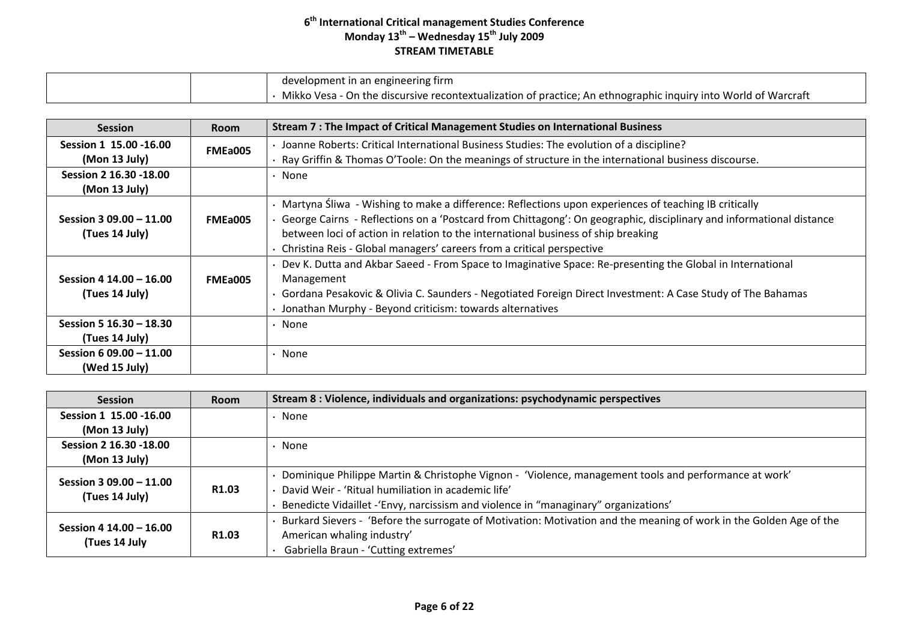|  | development in an engineering firm                                                                             |
|--|----------------------------------------------------------------------------------------------------------------|
|  | Mikko Vesa - On the discursive recontextualization of practice; An ethnographic inquiry into World of Warcraft |

| <b>Session</b>          | <b>Room</b> | Stream 7 : The Impact of Critical Management Studies on International Business                                        |
|-------------------------|-------------|-----------------------------------------------------------------------------------------------------------------------|
| Session 1 15.00 - 16.00 | FMEa005     | · Joanne Roberts: Critical International Business Studies: The evolution of a discipline?                             |
| (Mon 13 July)           |             | · Ray Griffin & Thomas O'Toole: On the meanings of structure in the international business discourse.                 |
| Session 2 16.30 -18.00  |             | • None                                                                                                                |
| (Mon 13 July)           |             |                                                                                                                       |
|                         |             | • Martyna Śliwa - Wishing to make a difference: Reflections upon experiences of teaching IB critically                |
| Session 3 09.00 - 11.00 | FMEa005     | · George Cairns - Reflections on a 'Postcard from Chittagong': On geographic, disciplinary and informational distance |
| (Tues 14 July)          |             | between loci of action in relation to the international business of ship breaking                                     |
|                         |             | • Christina Reis - Global managers' careers from a critical perspective                                               |
|                         |             | Dev K. Dutta and Akbar Saeed - From Space to Imaginative Space: Re-presenting the Global in International             |
| Session 4 14.00 - 16.00 | FMEa005     | Management                                                                                                            |
| (Tues 14 July)          |             | · Gordana Pesakovic & Olivia C. Saunders - Negotiated Foreign Direct Investment: A Case Study of The Bahamas          |
|                         |             | Jonathan Murphy - Beyond criticism: towards alternatives                                                              |
| Session 5 16.30 - 18.30 |             | • None                                                                                                                |
| (Tues 14 July)          |             |                                                                                                                       |
| Session 6 09.00 - 11.00 |             | • None                                                                                                                |
| (Wed 15 July)           |             |                                                                                                                       |

| <b>Session</b>          | Room              | Stream 8 : Violence, individuals and organizations: psychodynamic perspectives                                     |
|-------------------------|-------------------|--------------------------------------------------------------------------------------------------------------------|
| Session 1 15.00 - 16.00 |                   | None                                                                                                               |
| (Mon 13 July)           |                   |                                                                                                                    |
| Session 2 16.30 - 18.00 |                   | None                                                                                                               |
| (Mon 13 July)           |                   |                                                                                                                    |
| Session 3 09.00 - 11.00 |                   | Dominique Philippe Martin & Christophe Vignon - 'Violence, management tools and performance at work'               |
| (Tues 14 July)          | R <sub>1.03</sub> | David Weir - 'Ritual humiliation in academic life'                                                                 |
|                         |                   | Benedicte Vidaillet - 'Envy, narcissism and violence in "managinary" organizations'                                |
|                         |                   | Burkard Sievers - 'Before the surrogate of Motivation: Motivation and the meaning of work in the Golden Age of the |
| Session 4 14.00 - 16.00 | R <sub>1.03</sub> | American whaling industry'                                                                                         |
| (Tues 14 July           |                   | Gabriella Braun - 'Cutting extremes'                                                                               |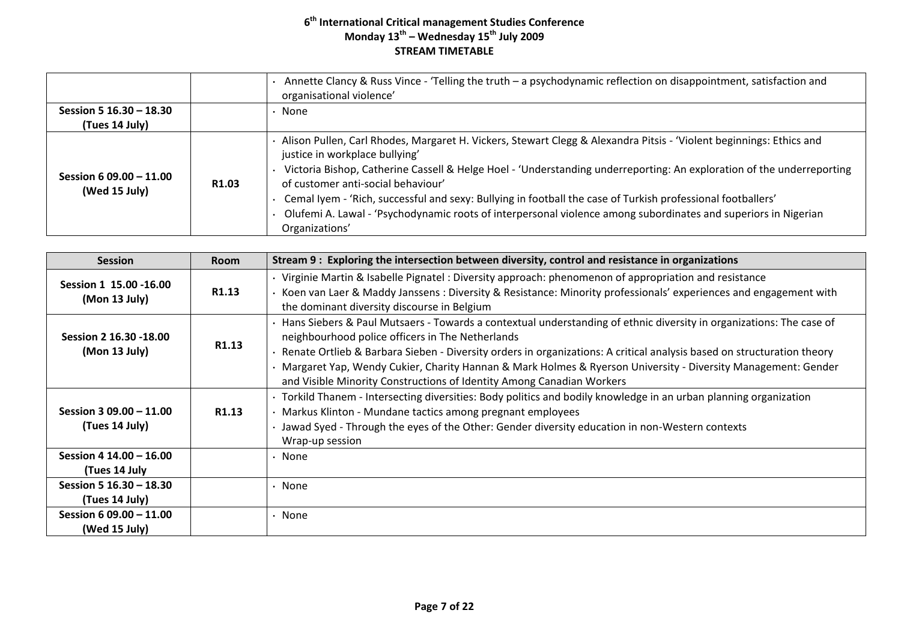|                                           |                   | Annette Clancy & Russ Vince - 'Telling the truth - a psychodynamic reflection on disappointment, satisfaction and<br>organisational violence'                                                                                                                                                                                                                                                                                                                                                                                                                           |
|-------------------------------------------|-------------------|-------------------------------------------------------------------------------------------------------------------------------------------------------------------------------------------------------------------------------------------------------------------------------------------------------------------------------------------------------------------------------------------------------------------------------------------------------------------------------------------------------------------------------------------------------------------------|
| Session 5 16.30 - 18.30                   |                   | None                                                                                                                                                                                                                                                                                                                                                                                                                                                                                                                                                                    |
| (Tues 14 July)                            |                   |                                                                                                                                                                                                                                                                                                                                                                                                                                                                                                                                                                         |
| Session 6 09.00 $-11.00$<br>(Wed 15 July) | R <sub>1.03</sub> | Alison Pullen, Carl Rhodes, Margaret H. Vickers, Stewart Clegg & Alexandra Pitsis - 'Violent beginnings: Ethics and<br>justice in workplace bullying'<br>Victoria Bishop, Catherine Cassell & Helge Hoel - 'Understanding underreporting: An exploration of the underreporting<br>of customer anti-social behaviour'<br>Cemal Iyem - 'Rich, successful and sexy: Bullying in football the case of Turkish professional footballers'<br>Olufemi A. Lawal - 'Psychodynamic roots of interpersonal violence among subordinates and superiors in Nigerian<br>Organizations' |

| <b>Session</b>                            | <b>Room</b>       | Stream 9 : Exploring the intersection between diversity, control and resistance in organizations                                                                                                                                                                                                                                                                                                                                                                                           |
|-------------------------------------------|-------------------|--------------------------------------------------------------------------------------------------------------------------------------------------------------------------------------------------------------------------------------------------------------------------------------------------------------------------------------------------------------------------------------------------------------------------------------------------------------------------------------------|
| Session 1 15.00 -16.00<br>(Mon 13 July)   | R1.13             | · Virginie Martin & Isabelle Pignatel: Diversity approach: phenomenon of appropriation and resistance<br>Koen van Laer & Maddy Janssens : Diversity & Resistance: Minority professionals' experiences and engagement with<br>the dominant diversity discourse in Belgium                                                                                                                                                                                                                   |
| Session 2 16.30 -18.00<br>(Mon 13 July)   | R1.13             | Hans Siebers & Paul Mutsaers - Towards a contextual understanding of ethnic diversity in organizations: The case of<br>neighbourhood police officers in The Netherlands<br>Renate Ortlieb & Barbara Sieben - Diversity orders in organizations: A critical analysis based on structuration theory<br>Margaret Yap, Wendy Cukier, Charity Hannan & Mark Holmes & Ryerson University - Diversity Management: Gender<br>and Visible Minority Constructions of Identity Among Canadian Workers |
| Session 3 09.00 - 11.00<br>(Tues 14 July) | R <sub>1.13</sub> | · Torkild Thanem - Intersecting diversities: Body politics and bodily knowledge in an urban planning organization<br>Markus Klinton - Mundane tactics among pregnant employees<br>Jawad Syed - Through the eyes of the Other: Gender diversity education in non-Western contexts<br>Wrap-up session                                                                                                                                                                                        |
| Session 4 14.00 - 16.00<br>(Tues 14 July  |                   | • None                                                                                                                                                                                                                                                                                                                                                                                                                                                                                     |
| Session 5 16.30 - 18.30<br>(Tues 14 July) |                   | • None                                                                                                                                                                                                                                                                                                                                                                                                                                                                                     |
| Session 6 09.00 - 11.00<br>(Wed 15 July)  |                   | • None                                                                                                                                                                                                                                                                                                                                                                                                                                                                                     |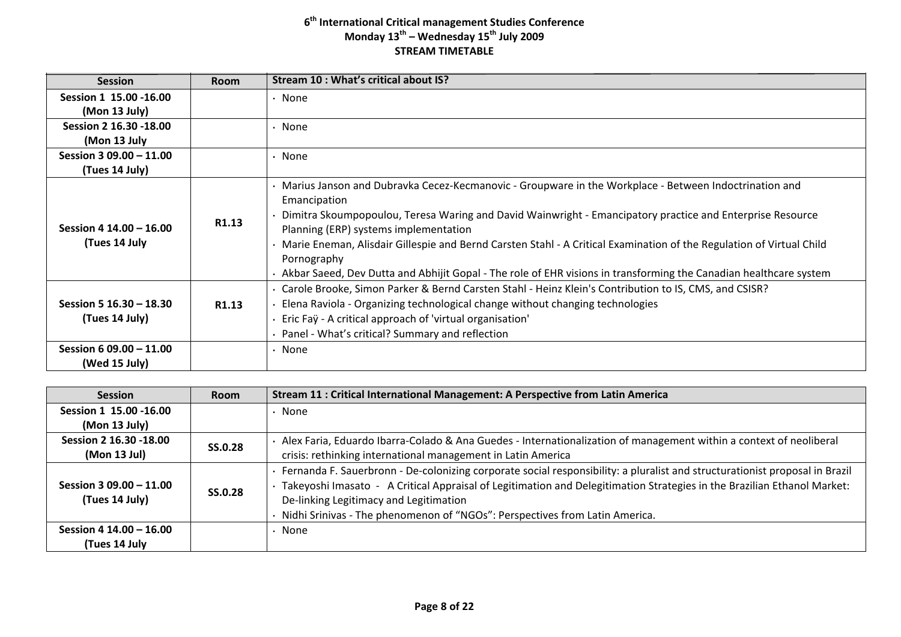| <b>Session</b>                            | <b>Room</b>       | Stream 10 : What's critical about IS?                                                                                                                                                                                                                                                                                                                                                                              |
|-------------------------------------------|-------------------|--------------------------------------------------------------------------------------------------------------------------------------------------------------------------------------------------------------------------------------------------------------------------------------------------------------------------------------------------------------------------------------------------------------------|
| Session 1 15.00 -16.00                    |                   | • None                                                                                                                                                                                                                                                                                                                                                                                                             |
| (Mon 13 July)                             |                   |                                                                                                                                                                                                                                                                                                                                                                                                                    |
| Session 2 16.30 -18.00                    |                   | • None                                                                                                                                                                                                                                                                                                                                                                                                             |
| (Mon 13 July                              |                   |                                                                                                                                                                                                                                                                                                                                                                                                                    |
| Session 3 09.00 - 11.00                   |                   | • None                                                                                                                                                                                                                                                                                                                                                                                                             |
| (Tues 14 July)                            |                   |                                                                                                                                                                                                                                                                                                                                                                                                                    |
| Session 4 14.00 - 16.00<br>(Tues 14 July  | R1.13             | Marius Janson and Dubravka Cecez-Kecmanovic - Groupware in the Workplace - Between Indoctrination and<br>Emancipation<br>Dimitra Skoumpopoulou, Teresa Waring and David Wainwright - Emancipatory practice and Enterprise Resource<br>Planning (ERP) systems implementation<br>Marie Eneman, Alisdair Gillespie and Bernd Carsten Stahl - A Critical Examination of the Regulation of Virtual Child<br>Pornography |
|                                           |                   | · Akbar Saeed, Dev Dutta and Abhijit Gopal - The role of EHR visions in transforming the Canadian healthcare system                                                                                                                                                                                                                                                                                                |
| Session 5 16.30 - 18.30<br>(Tues 14 July) | R <sub>1.13</sub> | · Carole Brooke, Simon Parker & Bernd Carsten Stahl - Heinz Klein's Contribution to IS, CMS, and CSISR?<br>Elena Raviola - Organizing technological change without changing technologies<br>Eric Faÿ - A critical approach of 'virtual organisation'<br>• Panel - What's critical? Summary and reflection                                                                                                          |
| Session 6 09.00 - 11.00<br>(Wed 15 July)  |                   | • None                                                                                                                                                                                                                                                                                                                                                                                                             |

| <b>Session</b>          | <b>Room</b>    | Stream 11 : Critical International Management: A Perspective from Latin America                                             |
|-------------------------|----------------|-----------------------------------------------------------------------------------------------------------------------------|
| Session 1 15.00 - 16.00 |                | $\cdot$ None                                                                                                                |
| (Mon 13 July)           |                |                                                                                                                             |
| Session 2 16.30 - 18.00 | <b>SS.0.28</b> | Alex Faria, Eduardo Ibarra-Colado & Ana Guedes - Internationalization of management within a context of neoliberal          |
| (Mon 13 Jul)            |                | crisis: rethinking international management in Latin America                                                                |
|                         |                | Fernanda F. Sauerbronn - De-colonizing corporate social responsibility: a pluralist and structurationist proposal in Brazil |
| Session 3 09.00 - 11.00 | SS.0.28        | · Takeyoshi Imasato - A Critical Appraisal of Legitimation and Delegitimation Strategies in the Brazilian Ethanol Market:   |
| (Tues 14 July)          |                | De-linking Legitimacy and Legitimation                                                                                      |
|                         |                | · Nidhi Srinivas - The phenomenon of "NGOs": Perspectives from Latin America.                                               |
| Session 4 14.00 - 16.00 |                | · None                                                                                                                      |
| (Tues 14 July           |                |                                                                                                                             |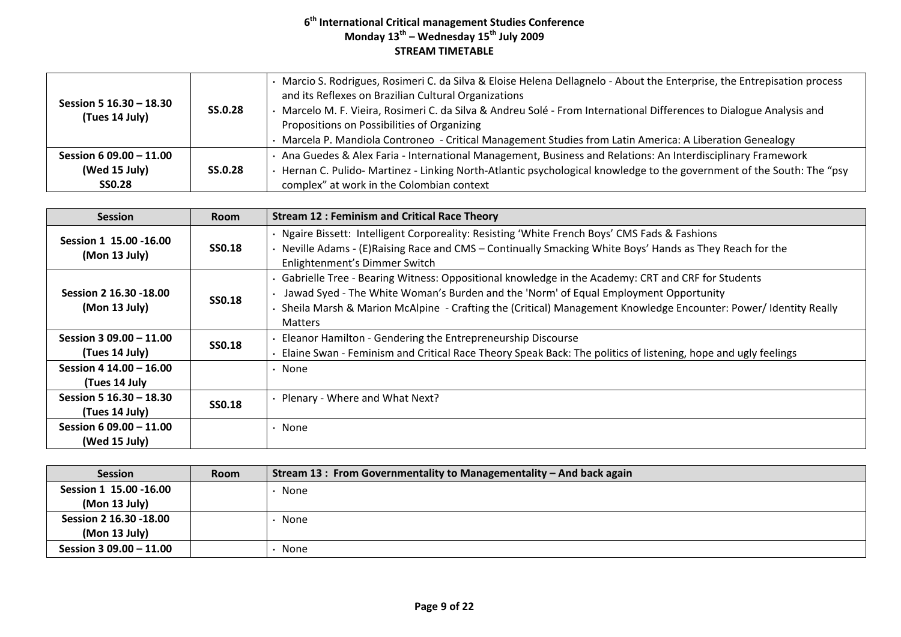| Session 5 16.30 - 18.30<br>(Tues 14 July) | <b>SS.0.28</b> | · Marcio S. Rodrigues, Rosimeri C. da Silva & Eloise Helena Dellagnelo - About the Enterprise, the Entrepisation process<br>and its Reflexes on Brazilian Cultural Organizations<br>· Marcelo M. F. Vieira, Rosimeri C. da Silva & Andreu Solé - From International Differences to Dialogue Analysis and<br>Propositions on Possibilities of Organizing<br>Marcela P. Mandiola Controneo - Critical Management Studies from Latin America: A Liberation Genealogy |
|-------------------------------------------|----------------|-------------------------------------------------------------------------------------------------------------------------------------------------------------------------------------------------------------------------------------------------------------------------------------------------------------------------------------------------------------------------------------------------------------------------------------------------------------------|
| Session 6 09.00 - 11.00<br>(Wed 15 July)  | <b>SS.0.28</b> | Ana Guedes & Alex Faria - International Management, Business and Relations: An Interdisciplinary Framework<br>Hernan C. Pulido- Martinez - Linking North-Atlantic psychological knowledge to the government of the South: The "psy                                                                                                                                                                                                                                |
| <b>SSO.28</b>                             |                | complex" at work in the Colombian context                                                                                                                                                                                                                                                                                                                                                                                                                         |

| <b>Session</b>                            | <b>Room</b>   | <b>Stream 12: Feminism and Critical Race Theory</b>                                                                                                                                                                                                                                                                            |
|-------------------------------------------|---------------|--------------------------------------------------------------------------------------------------------------------------------------------------------------------------------------------------------------------------------------------------------------------------------------------------------------------------------|
| Session 1 15.00 - 16.00<br>(Mon 13 July)  | <b>SSO.18</b> | · Ngaire Bissett: Intelligent Corporeality: Resisting 'White French Boys' CMS Fads & Fashions<br>. Neville Adams - (E)Raising Race and CMS – Continually Smacking White Boys' Hands as They Reach for the<br>Enlightenment's Dimmer Switch                                                                                     |
| Session 2 16.30 -18.00<br>(Mon 13 July)   | <b>SS0.18</b> | Gabrielle Tree - Bearing Witness: Oppositional knowledge in the Academy: CRT and CRF for Students<br>Jawad Syed - The White Woman's Burden and the 'Norm' of Equal Employment Opportunity<br>Sheila Marsh & Marion McAlpine - Crafting the (Critical) Management Knowledge Encounter: Power/ Identity Really<br><b>Matters</b> |
| Session 3 09.00 - 11.00<br>(Tues 14 July) | <b>SSO.18</b> | . Eleanor Hamilton - Gendering the Entrepreneurship Discourse<br>Elaine Swan - Feminism and Critical Race Theory Speak Back: The politics of listening, hope and ugly feelings                                                                                                                                                 |
| Session 4 14.00 - 16.00<br>(Tues 14 July  |               | · None                                                                                                                                                                                                                                                                                                                         |
| Session 5 16.30 - 18.30<br>(Tues 14 July) | <b>SS0.18</b> | · Plenary - Where and What Next?                                                                                                                                                                                                                                                                                               |
| Session 6 09.00 - 11.00<br>(Wed 15 July)  |               | $\cdot$ None                                                                                                                                                                                                                                                                                                                   |

| <b>Session</b>          | <b>Room</b> | Stream 13 : From Governmentality to Managementality - And back again |
|-------------------------|-------------|----------------------------------------------------------------------|
| Session 1 15.00 - 16.00 |             | None                                                                 |
| (Mon 13 July)           |             |                                                                      |
| Session 2 16.30 - 18.00 |             | None                                                                 |
| (Mon 13 July)           |             |                                                                      |
| Session 3 09.00 - 11.00 |             | None                                                                 |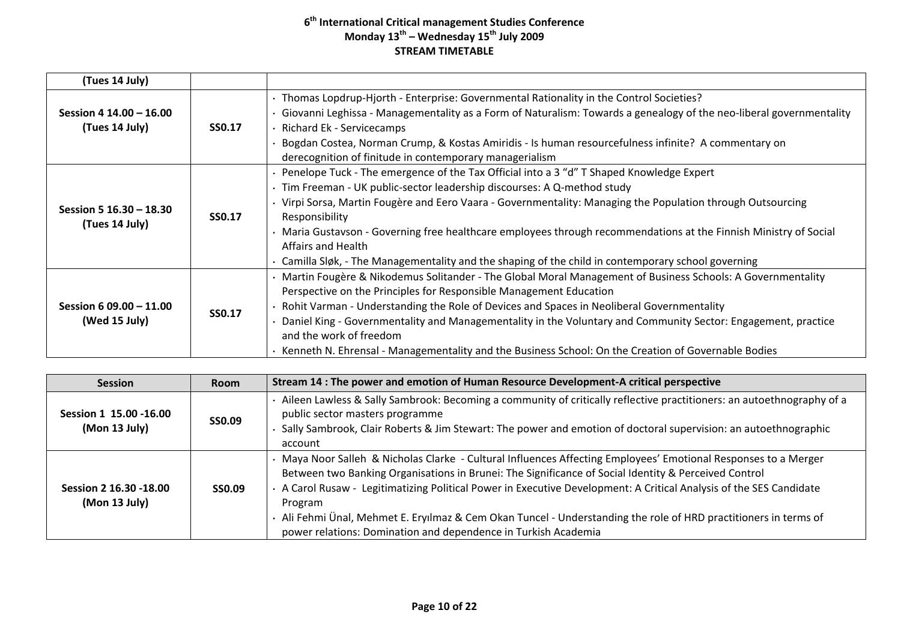| (Tues 14 July)          |               |                                                                                                                     |
|-------------------------|---------------|---------------------------------------------------------------------------------------------------------------------|
|                         |               | · Thomas Lopdrup-Hjorth - Enterprise: Governmental Rationality in the Control Societies?                            |
| Session 4 14.00 - 16.00 |               | Giovanni Leghissa - Managementality as a Form of Naturalism: Towards a genealogy of the neo-liberal governmentality |
| (Tues 14 July)          | <b>SS0.17</b> | Richard Ek - Servicecamps                                                                                           |
|                         |               | Bogdan Costea, Norman Crump, & Kostas Amiridis - Is human resourcefulness infinite? A commentary on                 |
|                         |               | derecognition of finitude in contemporary managerialism                                                             |
|                         |               | • Penelope Tuck - The emergence of the Tax Official into a 3 "d" T Shaped Knowledge Expert                          |
|                         |               | · Tim Freeman - UK public-sector leadership discourses: A Q-method study                                            |
| Session 5 16.30 - 18.30 |               | Virpi Sorsa, Martin Fougère and Eero Vaara - Governmentality: Managing the Population through Outsourcing           |
| (Tues 14 July)          | <b>SS0.17</b> | Responsibility                                                                                                      |
|                         |               | · Maria Gustavson - Governing free healthcare employees through recommendations at the Finnish Ministry of Social   |
|                         |               | <b>Affairs and Health</b>                                                                                           |
|                         |               | Camilla Sløk, - The Managementality and the shaping of the child in contemporary school governing                   |
|                         |               | · Martin Fougère & Nikodemus Solitander - The Global Moral Management of Business Schools: A Governmentality        |
|                         |               | Perspective on the Principles for Responsible Management Education                                                  |
| Session 6 09.00 - 11.00 | <b>SS0.17</b> | Rohit Varman - Understanding the Role of Devices and Spaces in Neoliberal Governmentality                           |
| (Wed 15 July)           |               | Daniel King - Governmentality and Managementality in the Voluntary and Community Sector: Engagement, practice       |
|                         |               | and the work of freedom                                                                                             |
|                         |               | Kenneth N. Ehrensal - Managementality and the Business School: On the Creation of Governable Bodies                 |

| <b>Session</b>                           | <b>Room</b>   | Stream 14 : The power and emotion of Human Resource Development-A critical perspective                                                                                                                                                                                                                                                                                                                                                                                                                                                      |
|------------------------------------------|---------------|---------------------------------------------------------------------------------------------------------------------------------------------------------------------------------------------------------------------------------------------------------------------------------------------------------------------------------------------------------------------------------------------------------------------------------------------------------------------------------------------------------------------------------------------|
| Session 1 15.00 - 16.00<br>(Mon 13 July) | <b>SS0.09</b> | Aileen Lawless & Sally Sambrook: Becoming a community of critically reflective practitioners: an autoethnography of a<br>public sector masters programme<br>Sally Sambrook, Clair Roberts & Jim Stewart: The power and emotion of doctoral supervision: an autoethnographic<br>account                                                                                                                                                                                                                                                      |
| Session 2 16.30 -18.00<br>(Mon 13 July)  | SS0.09        | Maya Noor Salleh & Nicholas Clarke - Cultural Influences Affecting Employees' Emotional Responses to a Merger<br>Between two Banking Organisations in Brunei: The Significance of Social Identity & Perceived Control<br>. A Carol Rusaw - Legitimatizing Political Power in Executive Development: A Critical Analysis of the SES Candidate<br>Program<br>Ali Fehmi Ünal, Mehmet E. Eryılmaz & Cem Okan Tuncel - Understanding the role of HRD practitioners in terms of<br>power relations: Domination and dependence in Turkish Academia |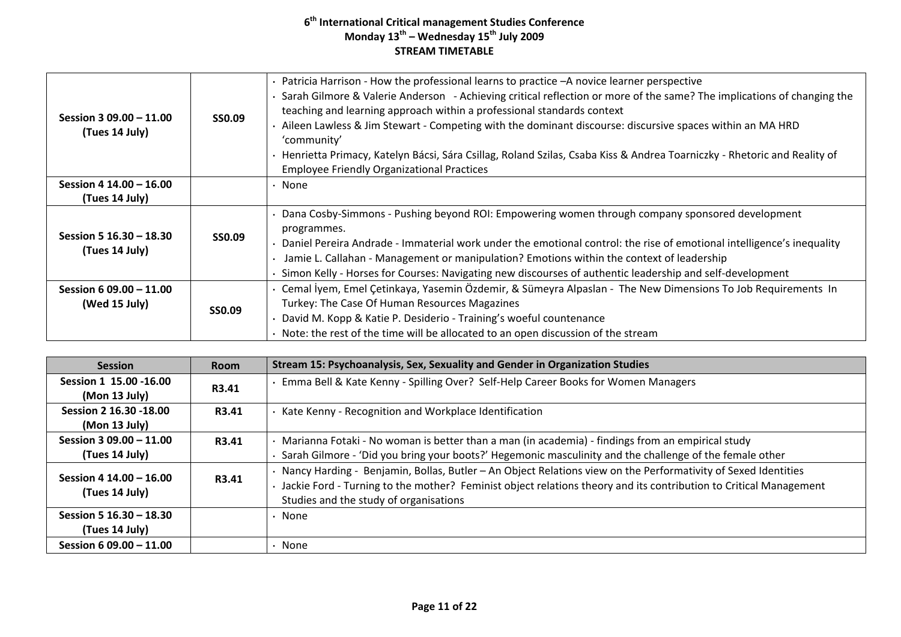| Session 3 09.00 - 11.00<br>(Tues 14 July)  | <b>SS0.09</b> | Patricia Harrison - How the professional learns to practice - A novice learner perspective<br>Sarah Gilmore & Valerie Anderson - Achieving critical reflection or more of the same? The implications of changing the<br>teaching and learning approach within a professional standards context<br>Aileen Lawless & Jim Stewart - Competing with the dominant discourse: discursive spaces within an MA HRD<br>'community'<br>Henrietta Primacy, Katelyn Bácsi, Sára Csillag, Roland Szilas, Csaba Kiss & Andrea Toarniczky - Rhetoric and Reality of<br><b>Employee Friendly Organizational Practices</b> |
|--------------------------------------------|---------------|-----------------------------------------------------------------------------------------------------------------------------------------------------------------------------------------------------------------------------------------------------------------------------------------------------------------------------------------------------------------------------------------------------------------------------------------------------------------------------------------------------------------------------------------------------------------------------------------------------------|
| Session 4 14.00 - 16.00<br>(Tues 14 July)  |               | • None                                                                                                                                                                                                                                                                                                                                                                                                                                                                                                                                                                                                    |
| Session 5 16.30 - 18.30<br>(Tues 14 July)  | <b>SS0.09</b> | Dana Cosby-Simmons - Pushing beyond ROI: Empowering women through company sponsored development<br>programmes.<br>Daniel Pereira Andrade - Immaterial work under the emotional control: the rise of emotional intelligence's inequality<br>Jamie L. Callahan - Management or manipulation? Emotions within the context of leadership<br>Simon Kelly - Horses for Courses: Navigating new discourses of authentic leadership and self-development                                                                                                                                                          |
| Session 6 09.00 $-$ 11.00<br>(Wed 15 July) | <b>SSO.09</b> | Cemal İyem, Emel Çetinkaya, Yasemin Özdemir, & Sümeyra Alpaslan - The New Dimensions To Job Requirements In<br>Turkey: The Case Of Human Resources Magazines<br>David M. Kopp & Katie P. Desiderio - Training's woeful countenance<br>Note: the rest of the time will be allocated to an open discussion of the stream                                                                                                                                                                                                                                                                                    |

| <b>Session</b>                            | <b>Room</b>  | Stream 15: Psychoanalysis, Sex, Sexuality and Gender in Organization Studies                                                                                                                                                                                                   |
|-------------------------------------------|--------------|--------------------------------------------------------------------------------------------------------------------------------------------------------------------------------------------------------------------------------------------------------------------------------|
| Session 1 15.00 -16.00<br>(Mon 13 July)   | <b>R3.41</b> | Emma Bell & Kate Kenny - Spilling Over? Self-Help Career Books for Women Managers                                                                                                                                                                                              |
| Session 2 16.30 - 18.00<br>(Mon 13 July)  | R3.41        | Kate Kenny - Recognition and Workplace Identification                                                                                                                                                                                                                          |
| Session 3 09.00 - 11.00<br>(Tues 14 July) | R3.41        | · Marianna Fotaki - No woman is better than a man (in academia) - findings from an empirical study<br>Sarah Gilmore - 'Did you bring your boots?' Hegemonic masculinity and the challenge of the female other                                                                  |
| Session 4 14.00 - 16.00<br>(Tues 14 July) | R3.41        | · Nancy Harding - Benjamin, Bollas, Butler - An Object Relations view on the Performativity of Sexed Identities<br>Jackie Ford - Turning to the mother? Feminist object relations theory and its contribution to Critical Management<br>Studies and the study of organisations |
| Session 5 16.30 - 18.30<br>(Tues 14 July) |              | $\cdot$ None                                                                                                                                                                                                                                                                   |
| Session 6 09.00 - 11.00                   |              | · None                                                                                                                                                                                                                                                                         |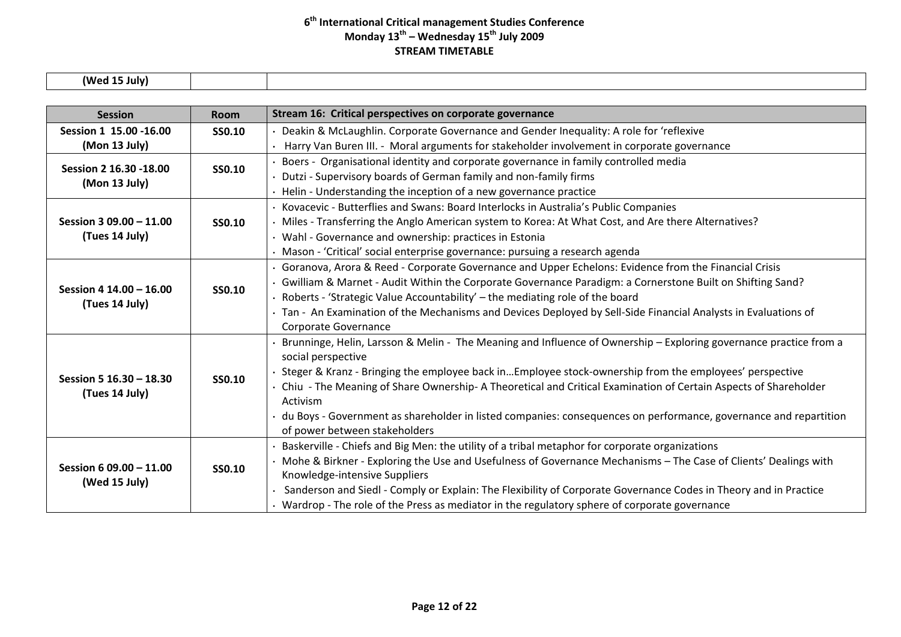**(Wed 15 July)**

| <b>Session</b>          | <b>Room</b>   | Stream 16: Critical perspectives on corporate governance                                                          |
|-------------------------|---------------|-------------------------------------------------------------------------------------------------------------------|
| Session 1 15.00 - 16.00 | SS0.10        | • Deakin & McLaughlin. Corporate Governance and Gender Inequality: A role for 'reflexive                          |
| (Mon 13 July)           |               | · Harry Van Buren III. - Moral arguments for stakeholder involvement in corporate governance                      |
| Session 2 16.30 - 18.00 |               | Boers - Organisational identity and corporate governance in family controlled media                               |
| (Mon 13 July)           | SS0.10        | Dutzi - Supervisory boards of German family and non-family firms                                                  |
|                         |               | Helin - Understanding the inception of a new governance practice                                                  |
|                         |               | Kovacevic - Butterflies and Swans: Board Interlocks in Australia's Public Companies                               |
| Session 3 09.00 - 11.00 | SS0.10        | · Miles - Transferring the Anglo American system to Korea: At What Cost, and Are there Alternatives?              |
| (Tues 14 July)          |               | • Wahl - Governance and ownership: practices in Estonia                                                           |
|                         |               | · Mason - 'Critical' social enterprise governance: pursuing a research agenda                                     |
|                         |               | Goranova, Arora & Reed - Corporate Governance and Upper Echelons: Evidence from the Financial Crisis              |
| Session 4 14.00 - 16.00 | <b>SS0.10</b> | · Gwilliam & Marnet - Audit Within the Corporate Governance Paradigm: a Cornerstone Built on Shifting Sand?       |
| (Tues 14 July)          |               | Roberts - 'Strategic Value Accountability' - the mediating role of the board                                      |
|                         |               | · Tan - An Examination of the Mechanisms and Devices Deployed by Sell-Side Financial Analysts in Evaluations of   |
|                         |               | Corporate Governance                                                                                              |
|                         |               | Brunninge, Helin, Larsson & Melin - The Meaning and Influence of Ownership - Exploring governance practice from a |
|                         | <b>SS0.10</b> | social perspective                                                                                                |
| Session 5 16.30 - 18.30 |               | Steger & Kranz - Bringing the employee back inEmployee stock-ownership from the employees' perspective            |
| (Tues 14 July)          |               | · Chiu - The Meaning of Share Ownership- A Theoretical and Critical Examination of Certain Aspects of Shareholder |
|                         |               | Activism                                                                                                          |
|                         |               | du Boys - Government as shareholder in listed companies: consequences on performance, governance and repartition  |
|                         |               | of power between stakeholders                                                                                     |
|                         |               | Baskerville - Chiefs and Big Men: the utility of a tribal metaphor for corporate organizations                    |
| Session 6 09.00 - 11.00 | <b>SS0.10</b> | · Mohe & Birkner - Exploring the Use and Usefulness of Governance Mechanisms – The Case of Clients' Dealings with |
| (Wed 15 July)           |               | Knowledge-intensive Suppliers                                                                                     |
|                         |               | Sanderson and Siedl - Comply or Explain: The Flexibility of Corporate Governance Codes in Theory and in Practice  |
|                         |               | • Wardrop - The role of the Press as mediator in the regulatory sphere of corporate governance                    |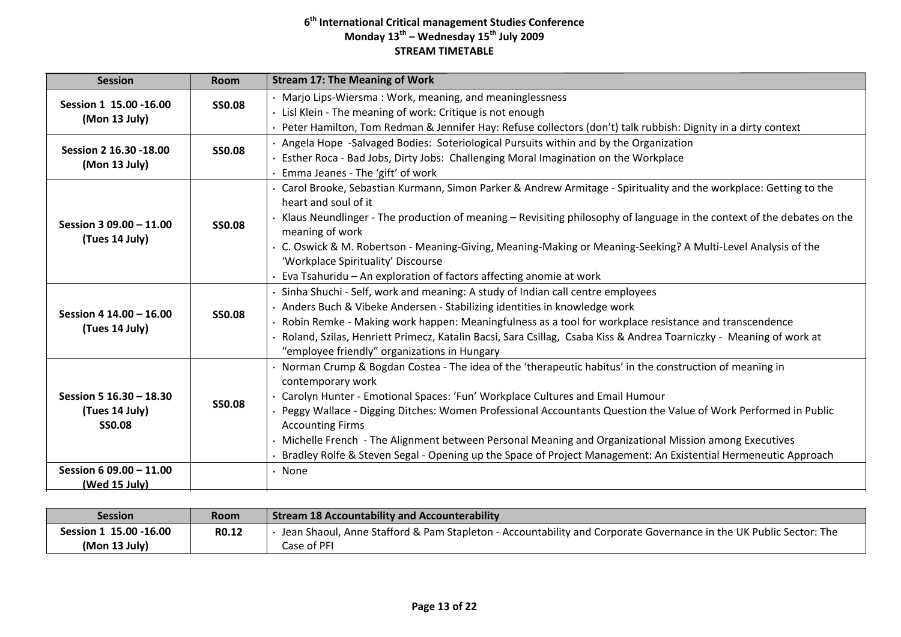| <b>Session</b>                                             | Room          | <b>Stream 17: The Meaning of Work</b>                                                                                                                                                                                                                                                                                                                                                                                                                                                                                                                                                      |
|------------------------------------------------------------|---------------|--------------------------------------------------------------------------------------------------------------------------------------------------------------------------------------------------------------------------------------------------------------------------------------------------------------------------------------------------------------------------------------------------------------------------------------------------------------------------------------------------------------------------------------------------------------------------------------------|
| Session 1 15.00 - 16.00<br>(Mon 13 July)                   | <b>SSO.08</b> | • Marjo Lips-Wiersma: Work, meaning, and meaninglessness<br>· Lisl Klein - The meaning of work: Critique is not enough<br>· Peter Hamilton, Tom Redman & Jennifer Hay: Refuse collectors (don't) talk rubbish: Dignity in a dirty context                                                                                                                                                                                                                                                                                                                                                  |
| Session 2 16.30 - 18.00<br>(Mon 13 July)                   | <b>SS0.08</b> | · Angela Hope -Salvaged Bodies: Soteriological Pursuits within and by the Organization<br>· Esther Roca - Bad Jobs, Dirty Jobs: Challenging Moral Imagination on the Workplace<br>· Emma Jeanes - The 'gift' of work                                                                                                                                                                                                                                                                                                                                                                       |
| Session 3 09.00 - 11.00<br>(Tues 14 July)                  | <b>SS0.08</b> | · Carol Brooke, Sebastian Kurmann, Simon Parker & Andrew Armitage - Spirituality and the workplace: Getting to the<br>heart and soul of it<br>· Klaus Neundlinger - The production of meaning – Revisiting philosophy of language in the context of the debates on the<br>meaning of work<br>· C. Oswick & M. Robertson - Meaning-Giving, Meaning-Making or Meaning-Seeking? A Multi-Level Analysis of the<br>'Workplace Spirituality' Discourse<br>· Eva Tsahuridu – An exploration of factors affecting anomie at work                                                                   |
| Session 4 14.00 - 16.00<br>(Tues 14 July)                  | <b>SS0.08</b> | · Sinha Shuchi - Self, work and meaning: A study of Indian call centre employees<br>· Anders Buch & Vibeke Andersen - Stabilizing identities in knowledge work<br>· Robin Remke - Making work happen: Meaningfulness as a tool for workplace resistance and transcendence<br>Roland, Szilas, Henriett Primecz, Katalin Bacsi, Sara Csillag, Csaba Kiss & Andrea Toarniczky - Meaning of work at<br>"employee friendly" organizations in Hungary                                                                                                                                            |
| Session 5 16.30 - 18.30<br>(Tues 14 July)<br><b>SS0.08</b> | <b>SS0.08</b> | · Norman Crump & Bogdan Costea - The idea of the 'therapeutic habitus' in the construction of meaning in<br>contemporary work<br>· Carolyn Hunter - Emotional Spaces: 'Fun' Workplace Cultures and Email Humour<br>· Peggy Wallace - Digging Ditches: Women Professional Accountants Question the Value of Work Performed in Public<br><b>Accounting Firms</b><br>· Michelle French - The Alignment between Personal Meaning and Organizational Mission among Executives<br>Bradley Rolfe & Steven Segal - Opening up the Space of Project Management: An Existential Hermeneutic Approach |
| Session 6 09.00 - 11.00<br>(Wed 15 July)                   |               | $\cdot$ None                                                                                                                                                                                                                                                                                                                                                                                                                                                                                                                                                                               |

| Session                | <b>Room</b> | <b>Stream 18 Accountability and Accounterability</b>                                                              |
|------------------------|-------------|-------------------------------------------------------------------------------------------------------------------|
| Session 1 15.00 -16.00 | R0.12       | Jean Shaoul, Anne Stafford & Pam Stapleton - Accountability and Corporate Governance in the UK Public Sector: The |
| (Mon 13 July)          |             | Case of PFI                                                                                                       |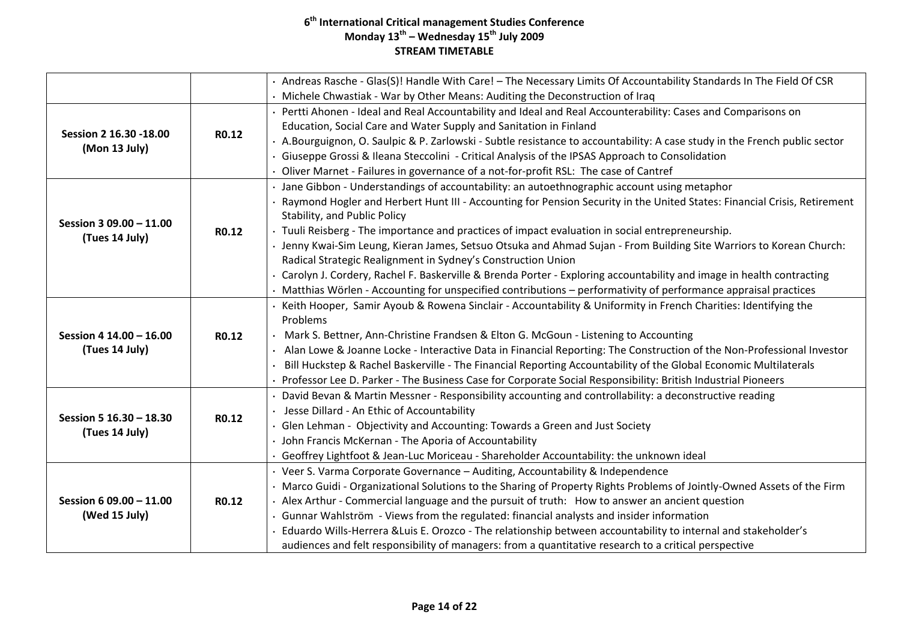|                                           |       | . Andreas Rasche - Glas(S)! Handle With Care! - The Necessary Limits Of Accountability Standards In The Field Of CSR       |
|-------------------------------------------|-------|----------------------------------------------------------------------------------------------------------------------------|
|                                           |       | Michele Chwastiak - War by Other Means: Auditing the Deconstruction of Iraq                                                |
|                                           |       | · Pertti Ahonen - Ideal and Real Accountability and Ideal and Real Accounterability: Cases and Comparisons on              |
| Session 2 16.30 - 18.00                   |       | Education, Social Care and Water Supply and Sanitation in Finland                                                          |
|                                           | R0.12 | . A.Bourguignon, O. Saulpic & P. Zarlowski - Subtle resistance to accountability: A case study in the French public sector |
| (Mon 13 July)                             |       | Giuseppe Grossi & Ileana Steccolini - Critical Analysis of the IPSAS Approach to Consolidation                             |
|                                           |       | Oliver Marnet - Failures in governance of a not-for-profit RSL: The case of Cantref                                        |
|                                           |       | · Jane Gibbon - Understandings of accountability: an autoethnographic account using metaphor                               |
|                                           |       | Raymond Hogler and Herbert Hunt III - Accounting for Pension Security in the United States: Financial Crisis, Retirement   |
| Session 3 09.00 - 11.00                   |       | Stability, and Public Policy                                                                                               |
| (Tues 14 July)                            | R0.12 | · Tuuli Reisberg - The importance and practices of impact evaluation in social entrepreneurship.                           |
|                                           |       | · Jenny Kwai-Sim Leung, Kieran James, Setsuo Otsuka and Ahmad Sujan - From Building Site Warriors to Korean Church:        |
|                                           |       | Radical Strategic Realignment in Sydney's Construction Union                                                               |
|                                           |       | Carolyn J. Cordery, Rachel F. Baskerville & Brenda Porter - Exploring accountability and image in health contracting       |
|                                           |       | Matthias Wörlen - Accounting for unspecified contributions - performativity of performance appraisal practices             |
|                                           |       | · Keith Hooper, Samir Ayoub & Rowena Sinclair - Accountability & Uniformity in French Charities: Identifying the           |
| Session 4 14.00 - 16.00<br>(Tues 14 July) | R0.12 | Problems                                                                                                                   |
|                                           |       | Mark S. Bettner, Ann-Christine Frandsen & Elton G. McGoun - Listening to Accounting                                        |
|                                           |       | . Alan Lowe & Joanne Locke - Interactive Data in Financial Reporting: The Construction of the Non-Professional Investor    |
|                                           |       | Bill Huckstep & Rachel Baskerville - The Financial Reporting Accountability of the Global Economic Multilaterals           |
|                                           |       | Professor Lee D. Parker - The Business Case for Corporate Social Responsibility: British Industrial Pioneers               |
|                                           |       | · David Bevan & Martin Messner - Responsibility accounting and controllability: a deconstructive reading                   |
| Session 5 16.30 - 18.30                   | R0.12 | · Jesse Dillard - An Ethic of Accountability                                                                               |
| (Tues 14 July)                            |       | · Glen Lehman - Objectivity and Accounting: Towards a Green and Just Society                                               |
|                                           |       | · John Francis McKernan - The Aporia of Accountability                                                                     |
|                                           |       | · Geoffrey Lightfoot & Jean-Luc Moriceau - Shareholder Accountability: the unknown ideal                                   |
|                                           |       | · Veer S. Varma Corporate Governance - Auditing, Accountability & Independence                                             |
|                                           |       | · Marco Guidi - Organizational Solutions to the Sharing of Property Rights Problems of Jointly-Owned Assets of the Firm    |
| Session 6 09.00 - 11.00<br>(Wed 15 July)  | R0.12 | · Alex Arthur - Commercial language and the pursuit of truth: How to answer an ancient question                            |
|                                           |       | · Gunnar Wahlström - Views from the regulated: financial analysts and insider information                                  |
|                                           |       | · Eduardo Wills-Herrera &Luis E. Orozco - The relationship between accountability to internal and stakeholder's            |
|                                           |       | audiences and felt responsibility of managers: from a quantitative research to a critical perspective                      |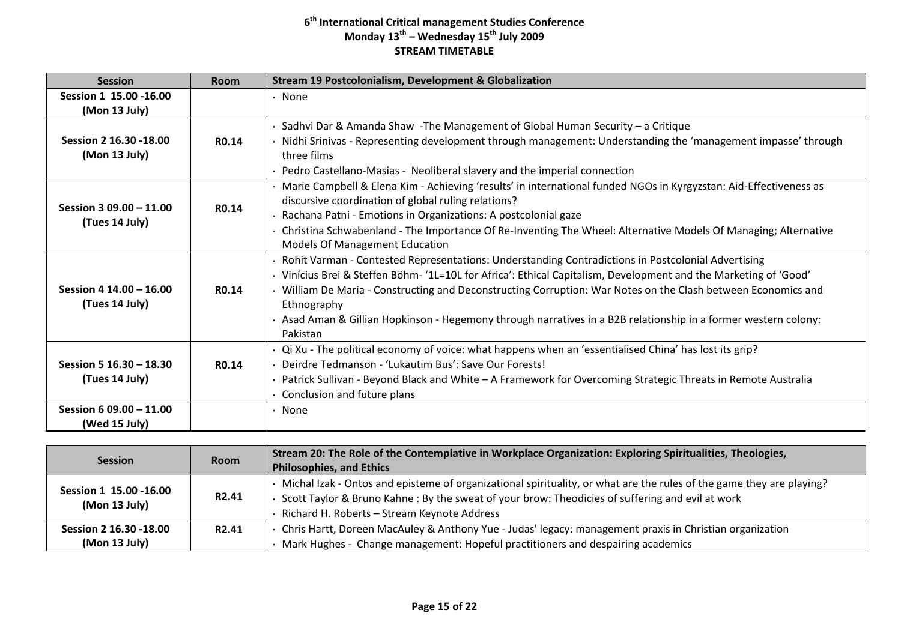| <b>Session</b>                                                       | Room              | <b>Stream 19 Postcolonialism, Development &amp; Globalization</b>                                                                                                                                                                                                                                                                                                                                                                                                               |
|----------------------------------------------------------------------|-------------------|---------------------------------------------------------------------------------------------------------------------------------------------------------------------------------------------------------------------------------------------------------------------------------------------------------------------------------------------------------------------------------------------------------------------------------------------------------------------------------|
| Session 1 15.00 - 16.00<br>(Mon 13 July)                             |                   | · None                                                                                                                                                                                                                                                                                                                                                                                                                                                                          |
| Session 2 16.30 - 18.00<br>(Mon 13 July)                             | R <sub>0.14</sub> | Sadhvi Dar & Amanda Shaw - The Management of Global Human Security - a Critique<br>Nidhi Srinivas - Representing development through management: Understanding the 'management impasse' through<br>three films<br>Pedro Castellano-Masias - Neoliberal slavery and the imperial connection                                                                                                                                                                                      |
| Session 3 09.00 - 11.00<br>(Tues 14 July)                            | R <sub>0.14</sub> | Marie Campbell & Elena Kim - Achieving 'results' in international funded NGOs in Kyrgyzstan: Aid-Effectiveness as<br>discursive coordination of global ruling relations?<br>Rachana Patni - Emotions in Organizations: A postcolonial gaze<br>Christina Schwabenland - The Importance Of Re-Inventing The Wheel: Alternative Models Of Managing; Alternative<br><b>Models Of Management Education</b>                                                                           |
| Session 4 14.00 - 16.00<br>(Tues 14 July)                            | R <sub>0.14</sub> | Rohit Varman - Contested Representations: Understanding Contradictions in Postcolonial Advertising<br>Vinícius Brei & Steffen Böhm- '1L=10L for Africa': Ethical Capitalism, Development and the Marketing of 'Good'<br>William De Maria - Constructing and Deconstructing Corruption: War Notes on the Clash between Economics and<br>Ethnography<br>Asad Aman & Gillian Hopkinson - Hegemony through narratives in a B2B relationship in a former western colony:<br>Pakistan |
| Session 5 16.30 - 18.30<br>(Tues 14 July)<br>Session 6 09.00 - 11.00 | R <sub>0.14</sub> | Qi Xu - The political economy of voice: what happens when an 'essentialised China' has lost its grip?<br>Deirdre Tedmanson - 'Lukautim Bus': Save Our Forests!<br>Patrick Sullivan - Beyond Black and White - A Framework for Overcoming Strategic Threats in Remote Australia<br>Conclusion and future plans                                                                                                                                                                   |
| (Wed 15 July)                                                        |                   | None                                                                                                                                                                                                                                                                                                                                                                                                                                                                            |

| <b>Session</b>                           | <b>Room</b>        | Stream 20: The Role of the Contemplative in Workplace Organization: Exploring Spiritualities, Theologies,<br><b>Philosophies, and Ethics</b>                                                                                                                           |
|------------------------------------------|--------------------|------------------------------------------------------------------------------------------------------------------------------------------------------------------------------------------------------------------------------------------------------------------------|
| Session 1 15.00 - 16.00<br>(Mon 13 July) | R <sub>2</sub> .41 | Michal Izak - Ontos and episteme of organizational spirituality, or what are the rules of the game they are playing?<br>Scott Taylor & Bruno Kahne: By the sweat of your brow: Theodicies of suffering and evil at work<br>Richard H. Roberts - Stream Keynote Address |
| Session 2 16.30 -18.00<br>(Mon 13 July)  | R <sub>2</sub> .41 | Chris Hartt, Doreen MacAuley & Anthony Yue - Judas' legacy: management praxis in Christian organization<br>Mark Hughes - Change management: Hopeful practitioners and despairing academics                                                                             |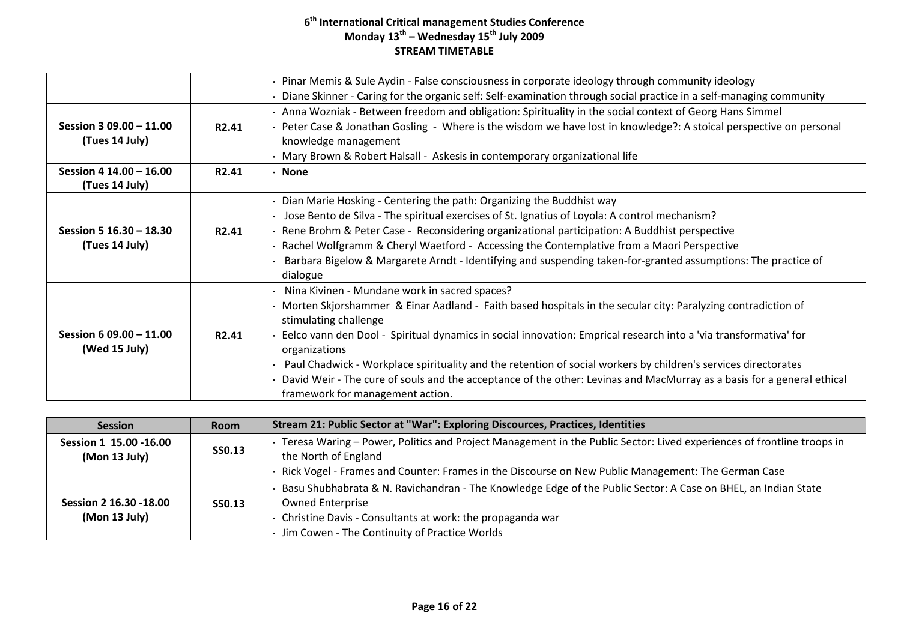|                         |                    | · Pinar Memis & Sule Aydin - False consciousness in corporate ideology through community ideology                      |
|-------------------------|--------------------|------------------------------------------------------------------------------------------------------------------------|
|                         |                    | Diane Skinner - Caring for the organic self: Self-examination through social practice in a self-managing community     |
|                         |                    | Anna Wozniak - Between freedom and obligation: Spirituality in the social context of Georg Hans Simmel                 |
| Session 3 09.00 - 11.00 | R <sub>2</sub> .41 | Peter Case & Jonathan Gosling - Where is the wisdom we have lost in knowledge?: A stoical perspective on personal      |
| (Tues 14 July)          |                    | knowledge management                                                                                                   |
|                         |                    | · Mary Brown & Robert Halsall - Askesis in contemporary organizational life                                            |
| Session 4 14.00 - 16.00 | R <sub>2</sub> .41 | · None                                                                                                                 |
| (Tues 14 July)          |                    |                                                                                                                        |
|                         |                    | • Dian Marie Hosking - Centering the path: Organizing the Buddhist way                                                 |
|                         |                    | Jose Bento de Silva - The spiritual exercises of St. Ignatius of Loyola: A control mechanism?                          |
| Session 5 16.30 - 18.30 | R <sub>2</sub> .41 | · Rene Brohm & Peter Case - Reconsidering organizational participation: A Buddhist perspective                         |
| (Tues 14 July)          |                    | · Rachel Wolfgramm & Cheryl Waetford - Accessing the Contemplative from a Maori Perspective                            |
|                         |                    | Barbara Bigelow & Margarete Arndt - Identifying and suspending taken-for-granted assumptions: The practice of          |
|                         |                    | dialogue                                                                                                               |
|                         |                    | Nina Kivinen - Mundane work in sacred spaces?                                                                          |
|                         |                    | Morten Skjorshammer & Einar Aadland - Faith based hospitals in the secular city: Paralyzing contradiction of           |
|                         |                    | stimulating challenge                                                                                                  |
| Session 6 09.00 - 11.00 | R <sub>2</sub> .41 | Eelco vann den Dool - Spiritual dynamics in social innovation: Emprical research into a 'via transformativa' for       |
| (Wed 15 July)           |                    | organizations                                                                                                          |
|                         |                    | Paul Chadwick - Workplace spirituality and the retention of social workers by children's services directorates         |
|                         |                    | David Weir - The cure of souls and the acceptance of the other: Levinas and MacMurray as a basis for a general ethical |
|                         |                    | framework for management action.                                                                                       |

| <b>Session</b>                          | <b>Room</b>   | Stream 21: Public Sector at "War": Exploring Discources, Practices, Identities                                                                                                                                                                         |
|-----------------------------------------|---------------|--------------------------------------------------------------------------------------------------------------------------------------------------------------------------------------------------------------------------------------------------------|
| Session 1 15.00 -16.00<br>(Mon 13 July) | <b>SS0.13</b> | Teresa Waring - Power, Politics and Project Management in the Public Sector: Lived experiences of frontline troops in<br>the North of England                                                                                                          |
|                                         |               | Rick Vogel - Frames and Counter: Frames in the Discourse on New Public Management: The German Case                                                                                                                                                     |
| Session 2 16.30 -18.00<br>(Mon 13 July) | SS0.13        | Basu Shubhabrata & N. Ravichandran - The Knowledge Edge of the Public Sector: A Case on BHEL, an Indian State<br><b>Owned Enterprise</b><br>Christine Davis - Consultants at work: the propaganda war<br>Jim Cowen - The Continuity of Practice Worlds |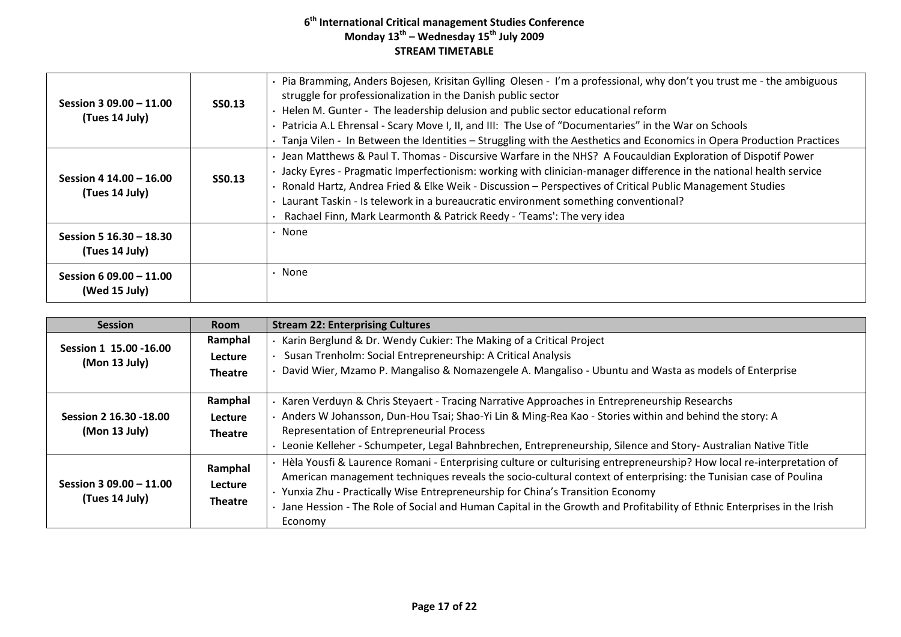| Session 3 09.00 $-$ 11.00<br>(Tues 14 July) | <b>SS0.13</b> | Pia Bramming, Anders Bojesen, Krisitan Gylling Olesen - I'm a professional, why don't you trust me - the ambiguous<br>struggle for professionalization in the Danish public sector<br>Helen M. Gunter - The leadership delusion and public sector educational reform<br>Patricia A.L Ehrensal - Scary Move I, II, and III: The Use of "Documentaries" in the War on Schools<br>· Tanja Vilen - In Between the Identities - Struggling with the Aesthetics and Economics in Opera Production Practices           |
|---------------------------------------------|---------------|-----------------------------------------------------------------------------------------------------------------------------------------------------------------------------------------------------------------------------------------------------------------------------------------------------------------------------------------------------------------------------------------------------------------------------------------------------------------------------------------------------------------|
| Session 4 14.00 - 16.00<br>(Tues 14 July)   | SS0.13        | · Jean Matthews & Paul T. Thomas - Discursive Warfare in the NHS? A Foucauldian Exploration of Dispotif Power<br>· Jacky Eyres - Pragmatic Imperfectionism: working with clinician-manager difference in the national health service<br>Ronald Hartz, Andrea Fried & Elke Weik - Discussion - Perspectives of Critical Public Management Studies<br>Laurant Taskin - Is telework in a bureaucratic environment something conventional?<br>Rachael Finn, Mark Learmonth & Patrick Reedy - 'Teams': The very idea |
| Session 5 16.30 - 18.30<br>(Tues 14 July)   |               | • None                                                                                                                                                                                                                                                                                                                                                                                                                                                                                                          |
| Session 6 09.00 $-$ 11.00<br>(Wed 15 July)  |               | None                                                                                                                                                                                                                                                                                                                                                                                                                                                                                                            |

| <b>Session</b>                           | <b>Room</b>    | <b>Stream 22: Enterprising Cultures</b>                                                                                  |
|------------------------------------------|----------------|--------------------------------------------------------------------------------------------------------------------------|
|                                          | Ramphal        | Karin Berglund & Dr. Wendy Cukier: The Making of a Critical Project                                                      |
| Session 1 15.00 - 16.00<br>(Mon 13 July) | Lecture        | Susan Trenholm: Social Entrepreneurship: A Critical Analysis                                                             |
|                                          | <b>Theatre</b> | David Wier, Mzamo P. Mangaliso & Nomazengele A. Mangaliso - Ubuntu and Wasta as models of Enterprise                     |
|                                          |                |                                                                                                                          |
|                                          | Ramphal        | Karen Verduyn & Chris Steyaert - Tracing Narrative Approaches in Entrepreneurship Researchs                              |
| Session 2 16.30 - 18.00                  | <b>Lecture</b> | Anders W Johansson, Dun-Hou Tsai; Shao-Yi Lin & Ming-Rea Kao - Stories within and behind the story: A                    |
| (Mon 13 July)                            | <b>Theatre</b> | Representation of Entrepreneurial Process                                                                                |
|                                          |                | Leonie Kelleher - Schumpeter, Legal Bahnbrechen, Entrepreneurship, Silence and Story- Australian Native Title            |
|                                          | Ramphal        | · Hèla Yousfi & Laurence Romani - Enterprising culture or culturising entrepreneurship? How local re-interpretation of   |
| Session $309.00 - 11.00$                 | <b>Lecture</b> | American management techniques reveals the socio-cultural context of enterprising: the Tunisian case of Poulina          |
| (Tues 14 July)                           |                | · Yunxia Zhu - Practically Wise Entrepreneurship for China's Transition Economy                                          |
|                                          | <b>Theatre</b> | · Jane Hession - The Role of Social and Human Capital in the Growth and Profitability of Ethnic Enterprises in the Irish |
|                                          |                | Economy                                                                                                                  |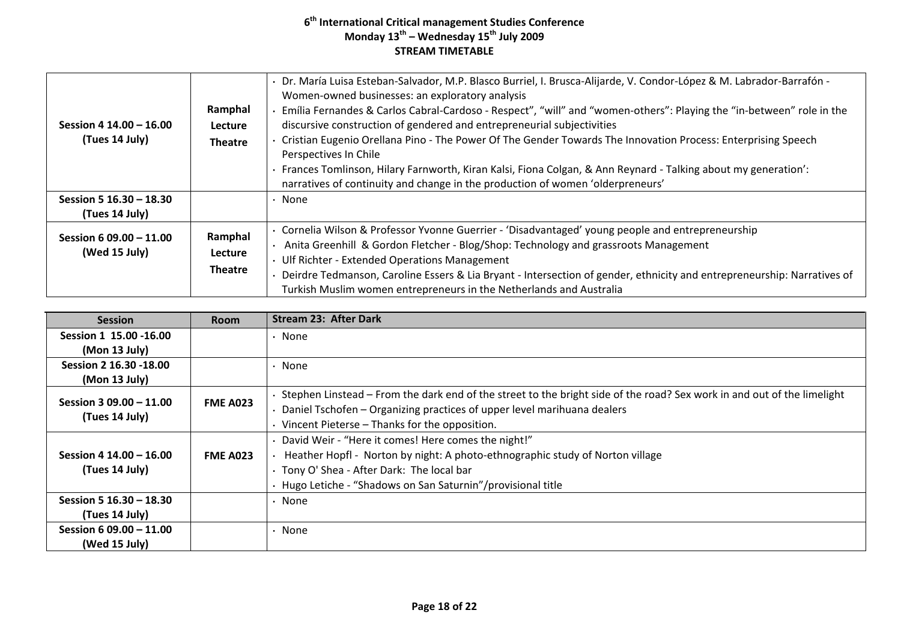| Session 4 14.00 - 16.00<br>(Tues 14 July) | Ramphal<br>Lecture<br><b>Theatre</b> | Dr. María Luisa Esteban-Salvador, M.P. Blasco Burriel, I. Brusca-Alijarde, V. Condor-López & M. Labrador-Barrafón -<br>Women-owned businesses: an exploratory analysis<br>Emília Fernandes & Carlos Cabral-Cardoso - Respect", "will" and "women-others": Playing the "in-between" role in the<br>discursive construction of gendered and entrepreneurial subjectivities<br>Cristian Eugenio Orellana Pino - The Power Of The Gender Towards The Innovation Process: Enterprising Speech<br>Perspectives In Chile<br>Frances Tomlinson, Hilary Farnworth, Kiran Kalsi, Fiona Colgan, & Ann Reynard - Talking about my generation':<br>narratives of continuity and change in the production of women 'olderpreneurs' |
|-------------------------------------------|--------------------------------------|----------------------------------------------------------------------------------------------------------------------------------------------------------------------------------------------------------------------------------------------------------------------------------------------------------------------------------------------------------------------------------------------------------------------------------------------------------------------------------------------------------------------------------------------------------------------------------------------------------------------------------------------------------------------------------------------------------------------|
| Session 5 16.30 - 18.30<br>(Tues 14 July) |                                      | None                                                                                                                                                                                                                                                                                                                                                                                                                                                                                                                                                                                                                                                                                                                 |
| Session 6 09.00 - 11.00<br>(Wed 15 July)  | Ramphal<br>Lecture<br><b>Theatre</b> | Cornelia Wilson & Professor Yvonne Guerrier - 'Disadvantaged' young people and entrepreneurship<br>Anita Greenhill & Gordon Fletcher - Blog/Shop: Technology and grassroots Management<br>Ulf Richter - Extended Operations Management<br>Deirdre Tedmanson, Caroline Essers & Lia Bryant - Intersection of gender, ethnicity and entrepreneurship: Narratives of<br>Turkish Muslim women entrepreneurs in the Netherlands and Australia                                                                                                                                                                                                                                                                             |

| <b>Session</b>          | <b>Room</b>     | <b>Stream 23: After Dark</b>                                                                                            |
|-------------------------|-----------------|-------------------------------------------------------------------------------------------------------------------------|
| Session 1 15.00 -16.00  |                 | $\cdot$ None                                                                                                            |
| (Mon 13 July)           |                 |                                                                                                                         |
| Session 2 16.30 -18.00  |                 | $\cdot$ None                                                                                                            |
| (Mon 13 July)           |                 |                                                                                                                         |
| Session 3 09.00 - 11.00 |                 | Stephen Linstead – From the dark end of the street to the bright side of the road? Sex work in and out of the limelight |
| (Tues 14 July)          | <b>FME A023</b> | Daniel Tschofen – Organizing practices of upper level marihuana dealers                                                 |
|                         |                 | $\cdot$ Vincent Pieterse – Thanks for the opposition.                                                                   |
|                         |                 | · David Weir - "Here it comes! Here comes the night!"                                                                   |
| Session 4 14.00 - 16.00 | <b>FME A023</b> | Heather Hopfl - Norton by night: A photo-ethnographic study of Norton village                                           |
| (Tues 14 July)          |                 | · Tony O' Shea - After Dark: The local bar                                                                              |
|                         |                 | · Hugo Letiche - "Shadows on San Saturnin"/provisional title                                                            |
| Session 5 16.30 - 18.30 |                 | $\cdot$ None                                                                                                            |
| (Tues 14 July)          |                 |                                                                                                                         |
| Session 6 09.00 - 11.00 |                 | $\cdot$ None                                                                                                            |
| (Wed 15 July)           |                 |                                                                                                                         |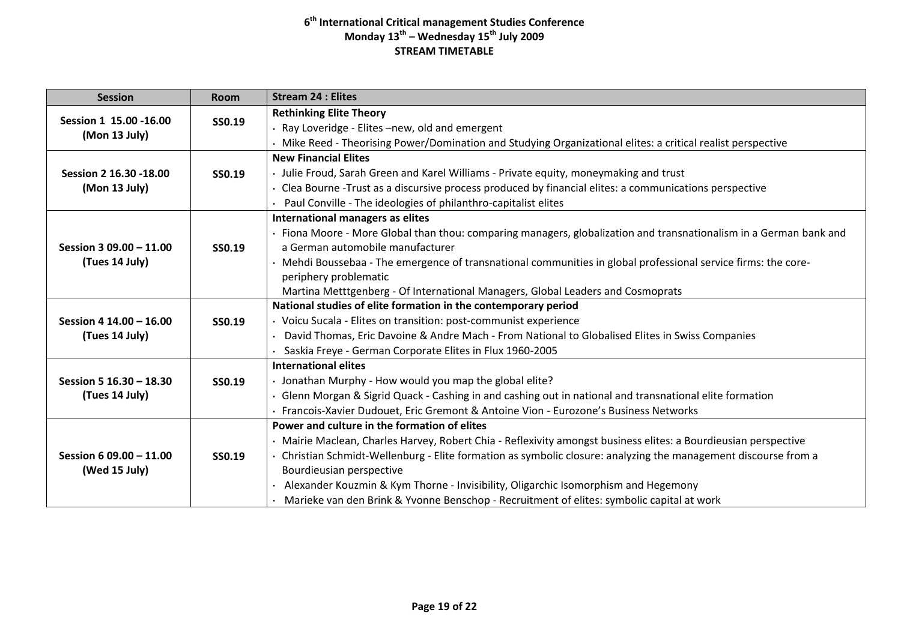| <b>Session</b>          | <b>Room</b>   | <b>Stream 24 : Elites</b>                                                                                          |
|-------------------------|---------------|--------------------------------------------------------------------------------------------------------------------|
| Session 1 15.00 - 16.00 | <b>SS0.19</b> | <b>Rethinking Elite Theory</b>                                                                                     |
|                         |               | · Ray Loveridge - Elites -new, old and emergent                                                                    |
| (Mon 13 July)           |               | Mike Reed - Theorising Power/Domination and Studying Organizational elites: a critical realist perspective         |
|                         |               | <b>New Financial Elites</b>                                                                                        |
| Session 2 16.30 - 18.00 | SS0.19        | · Julie Froud, Sarah Green and Karel Williams - Private equity, moneymaking and trust                              |
| (Mon 13 July)           |               | Clea Bourne -Trust as a discursive process produced by financial elites: a communications perspective              |
|                         |               | Paul Conville - The ideologies of philanthro-capitalist elites                                                     |
|                         |               | International managers as elites                                                                                   |
|                         |               | · Fiona Moore - More Global than thou: comparing managers, globalization and transnationalism in a German bank and |
| Session 3 09.00 - 11.00 | SS0.19        | a German automobile manufacturer                                                                                   |
| (Tues 14 July)          |               | Mehdi Boussebaa - The emergence of transnational communities in global professional service firms: the core-       |
|                         |               | periphery problematic                                                                                              |
|                         |               | Martina Metttgenberg - Of International Managers, Global Leaders and Cosmoprats                                    |
|                         |               | National studies of elite formation in the contemporary period                                                     |
| Session 4 14.00 - 16.00 | SS0.19        | · Voicu Sucala - Elites on transition: post-communist experience                                                   |
| (Tues 14 July)          |               | David Thomas, Eric Davoine & Andre Mach - From National to Globalised Elites in Swiss Companies                    |
|                         |               | Saskia Freye - German Corporate Elites in Flux 1960-2005                                                           |
|                         |               | <b>International elites</b>                                                                                        |
| Session 5 16.30 - 18.30 | <b>SS0.19</b> | · Jonathan Murphy - How would you map the global elite?                                                            |
| (Tues 14 July)          |               | Glenn Morgan & Sigrid Quack - Cashing in and cashing out in national and transnational elite formation             |
|                         |               | · Francois-Xavier Dudouet, Eric Gremont & Antoine Vion - Eurozone's Business Networks                              |
|                         |               | Power and culture in the formation of elites                                                                       |
|                         |               | · Mairie Maclean, Charles Harvey, Robert Chia - Reflexivity amongst business elites: a Bourdieusian perspective    |
| Session 6 09.00 - 11.00 | SS0.19        | · Christian Schmidt-Wellenburg - Elite formation as symbolic closure: analyzing the management discourse from a    |
| (Wed 15 July)           |               | Bourdieusian perspective                                                                                           |
|                         |               | • Alexander Kouzmin & Kym Thorne - Invisibility, Oligarchic Isomorphism and Hegemony                               |
|                         |               | Marieke van den Brink & Yvonne Benschop - Recruitment of elites: symbolic capital at work                          |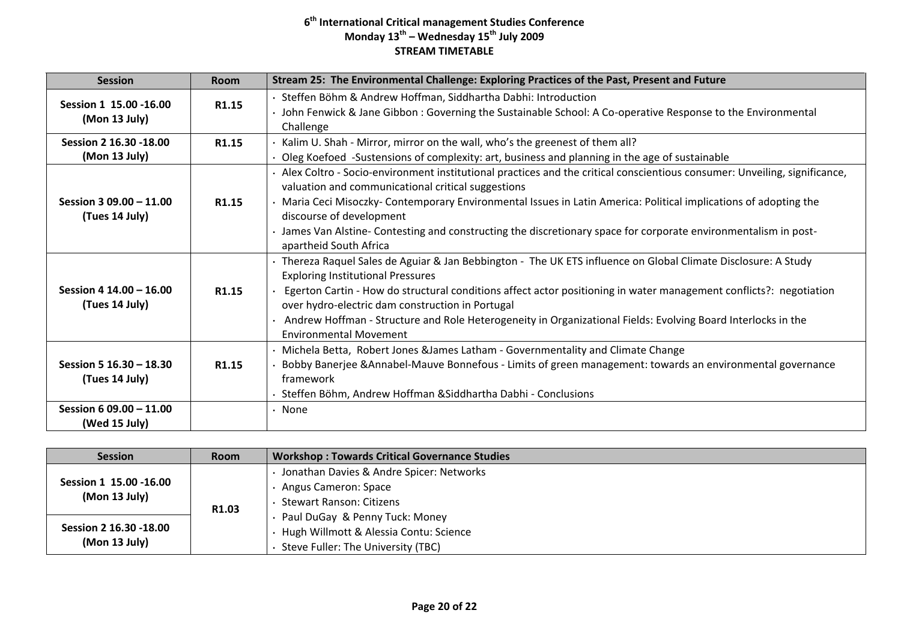| <b>Session</b>                            | <b>Room</b>       | Stream 25: The Environmental Challenge: Exploring Practices of the Past, Present and Future                                                                                       |
|-------------------------------------------|-------------------|-----------------------------------------------------------------------------------------------------------------------------------------------------------------------------------|
| Session 1 15.00 -16.00                    | R1.15             | Steffen Böhm & Andrew Hoffman, Siddhartha Dabhi: Introduction<br>· John Fenwick & Jane Gibbon: Governing the Sustainable School: A Co-operative Response to the Environmental     |
| (Mon 13 July)                             |                   | Challenge                                                                                                                                                                         |
| Session 2 16.30 - 18.00                   | R1.15             | Kalim U. Shah - Mirror, mirror on the wall, who's the greenest of them all?                                                                                                       |
| (Mon 13 July)                             |                   | Oleg Koefoed -Sustensions of complexity: art, business and planning in the age of sustainable                                                                                     |
|                                           |                   | · Alex Coltro - Socio-environment institutional practices and the critical conscientious consumer: Unveiling, significance,<br>valuation and communicational critical suggestions |
| Session 3 09.00 - 11.00<br>(Tues 14 July) | R <sub>1.15</sub> | Maria Ceci Misoczky- Contemporary Environmental Issues in Latin America: Political implications of adopting the<br>discourse of development                                       |
|                                           |                   | James Van Alstine-Contesting and constructing the discretionary space for corporate environmentalism in post-<br>apartheid South Africa                                           |
|                                           |                   | · Thereza Raquel Sales de Aguiar & Jan Bebbington - The UK ETS influence on Global Climate Disclosure: A Study<br><b>Exploring Institutional Pressures</b>                        |
| Session 4 14.00 - 16.00<br>(Tues 14 July) | R1.15             | Egerton Cartin - How do structural conditions affect actor positioning in water management conflicts?: negotiation<br>over hydro-electric dam construction in Portugal            |
|                                           |                   | Andrew Hoffman - Structure and Role Heterogeneity in Organizational Fields: Evolving Board Interlocks in the<br><b>Environmental Movement</b>                                     |
|                                           |                   | · Michela Betta, Robert Jones & James Latham - Governmentality and Climate Change                                                                                                 |
| Session 5 16.30 - 18.30                   | R <sub>1.15</sub> | Bobby Banerjee & Annabel-Mauve Bonnefous - Limits of green management: towards an environmental governance                                                                        |
| (Tues 14 July)                            |                   | framework                                                                                                                                                                         |
|                                           |                   | Steffen Böhm, Andrew Hoffman & Siddhartha Dabhi - Conclusions                                                                                                                     |
| Session 6 09.00 - 11.00<br>(Wed 15 July)  |                   | · None                                                                                                                                                                            |

| <b>Session</b>                          | <b>Room</b>       | <b>Workshop: Towards Critical Governance Studies</b> |
|-----------------------------------------|-------------------|------------------------------------------------------|
| Session 1 15.00 -16.00<br>(Mon 13 July) | R <sub>1.03</sub> | Jonathan Davies & Andre Spicer: Networks             |
|                                         |                   | Angus Cameron: Space                                 |
|                                         |                   | <b>Stewart Ranson: Citizens</b>                      |
| Session 2 16.30 -18.00<br>(Mon 13 July) |                   | Paul DuGay & Penny Tuck: Money                       |
|                                         |                   | Hugh Willmott & Alessia Contu: Science               |
|                                         |                   | Steve Fuller: The University (TBC)                   |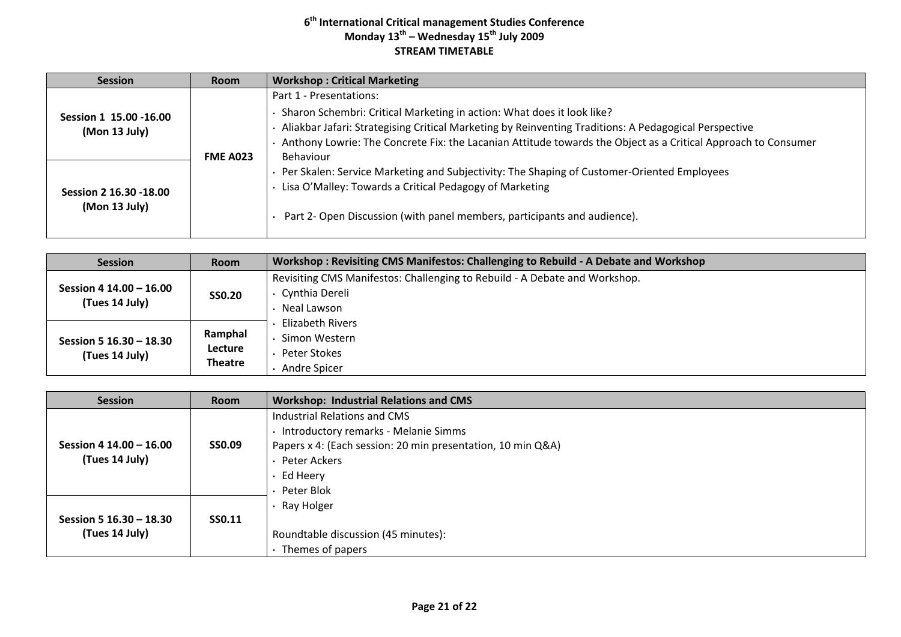| <b>Session</b>                           | <b>Room</b>     | <b>Workshop: Critical Marketing</b>                                                                                                                                                                                                                                                                                                        |
|------------------------------------------|-----------------|--------------------------------------------------------------------------------------------------------------------------------------------------------------------------------------------------------------------------------------------------------------------------------------------------------------------------------------------|
| Session 1 15.00 - 16.00<br>(Mon 13 July) | <b>FME A023</b> | Part 1 - Presentations:<br>· Sharon Schembri: Critical Marketing in action: What does it look like?<br>Aliakbar Jafari: Strategising Critical Marketing by Reinventing Traditions: A Pedagogical Perspective<br>Anthony Lowrie: The Concrete Fix: the Lacanian Attitude towards the Object as a Critical Approach to Consumer<br>Behaviour |
| Session 2 16.30 -18.00<br>(Mon 13 July)  |                 | Per Skalen: Service Marketing and Subjectivity: The Shaping of Customer-Oriented Employees<br>· Lisa O'Malley: Towards a Critical Pedagogy of Marketing<br>. Part 2- Open Discussion (with panel members, participants and audience).                                                                                                      |

| <b>Session</b>                            | <b>Room</b>    | Workshop: Revisiting CMS Manifestos: Challenging to Rebuild - A Debate and Workshop |
|-------------------------------------------|----------------|-------------------------------------------------------------------------------------|
| Session 4 14.00 - 16.00<br>(Tues 14 July) | <b>SSO.20</b>  | Revisiting CMS Manifestos: Challenging to Rebuild - A Debate and Workshop.          |
|                                           |                | Cynthia Dereli                                                                      |
|                                           |                | Neal Lawson                                                                         |
| Session 5 16.30 - 18.30<br>(Tues 14 July) |                | Elizabeth Rivers                                                                    |
|                                           | Ramphal        | Simon Western                                                                       |
|                                           | <b>Lecture</b> | Peter Stokes                                                                        |
|                                           | <b>Theatre</b> | Andre Spicer                                                                        |

| <b>Session</b>          | <b>Room</b>   | <b>Workshop: Industrial Relations and CMS</b>               |
|-------------------------|---------------|-------------------------------------------------------------|
|                         |               | Industrial Relations and CMS                                |
|                         |               | · Introductory remarks - Melanie Simms                      |
| Session 4 14.00 - 16.00 | <b>SSO.09</b> | Papers x 4: (Each session: 20 min presentation, 10 min Q&A) |
| (Tues 14 July)          |               | · Peter Ackers                                              |
|                         |               | $\cdot$ Ed Heery                                            |
|                         |               | • Peter Blok                                                |
|                         |               | $\cdot$ Ray Holger                                          |
| Session 5 16.30 - 18.30 | <b>SS0.11</b> |                                                             |
| (Tues 14 July)          |               | Roundtable discussion (45 minutes):                         |
|                         |               | Themes of papers                                            |